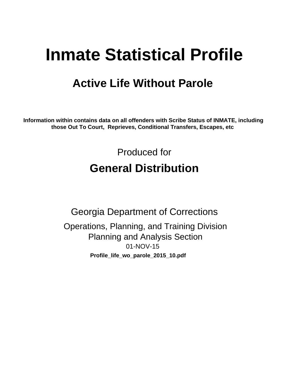# **Inmate Statistical Profile**

## **Active Life Without Parole**

Information within contains data on all offenders with Scribe Status of INMATE, including those Out To Court, Reprieves, Conditional Transfers, Escapes, etc

> Produced for **General Distribution**

**Georgia Department of Corrections** Operations, Planning, and Training Division **Planning and Analysis Section** 01-NOV-15 Profile\_life\_wo\_parole\_2015\_10.pdf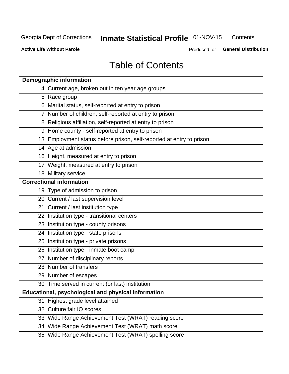#### Inmate Statistical Profile 01-NOV-15 Contents

**Active Life Without Parole** 

Produced for General Distribution

## **Table of Contents**

| <b>Demographic information</b>                                       |
|----------------------------------------------------------------------|
| 4 Current age, broken out in ten year age groups                     |
| 5 Race group                                                         |
| 6 Marital status, self-reported at entry to prison                   |
| 7 Number of children, self-reported at entry to prison               |
| 8 Religious affiliation, self-reported at entry to prison            |
| 9 Home county - self-reported at entry to prison                     |
| 13 Employment status before prison, self-reported at entry to prison |
| 14 Age at admission                                                  |
| 16 Height, measured at entry to prison                               |
| 17 Weight, measured at entry to prison                               |
| 18 Military service                                                  |
| <b>Correctional information</b>                                      |
| 19 Type of admission to prison                                       |
| 20 Current / last supervision level                                  |
| 21 Current / last institution type                                   |
| 22 Institution type - transitional centers                           |
| 23 Institution type - county prisons                                 |
| 24 Institution type - state prisons                                  |
| 25 Institution type - private prisons                                |
| 26 Institution type - inmate boot camp                               |
| 27 Number of disciplinary reports                                    |
| 28 Number of transfers                                               |
| 29 Number of escapes                                                 |
| 30 Time served in current (or last) institution                      |
| Educational, psychological and physical information                  |
| 31 Highest grade level attained                                      |
| 32 Culture fair IQ scores                                            |
| 33 Wide Range Achievement Test (WRAT) reading score                  |
| 34 Wide Range Achievement Test (WRAT) math score                     |
| 35 Wide Range Achievement Test (WRAT) spelling score                 |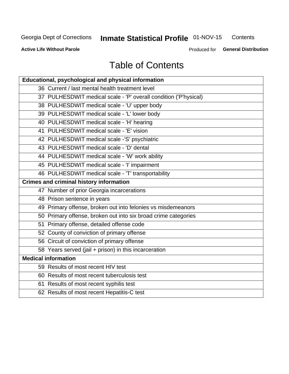#### Inmate Statistical Profile 01-NOV-15 Contents

**Active Life Without Parole** 

Produced for General Distribution

## **Table of Contents**

| <b>Educational, psychological and physical information</b>       |
|------------------------------------------------------------------|
| 36 Current / last mental health treatment level                  |
| 37 PULHESDWIT medical scale - 'P' overall condition ('P'hysical) |
| 38 PULHESDWIT medical scale - 'U' upper body                     |
| 39 PULHESDWIT medical scale - 'L' lower body                     |
| 40 PULHESDWIT medical scale - 'H' hearing                        |
| 41 PULHESDWIT medical scale - 'E' vision                         |
| 42 PULHESDWIT medical scale -'S' psychiatric                     |
| 43 PULHESDWIT medical scale - 'D' dental                         |
| 44 PULHESDWIT medical scale - 'W' work ability                   |
| 45 PULHESDWIT medical scale - 'I' impairment                     |
| 46 PULHESDWIT medical scale - 'T' transportability               |
| <b>Crimes and criminal history information</b>                   |
| 47 Number of prior Georgia incarcerations                        |
| 48 Prison sentence in years                                      |
| 49 Primary offense, broken out into felonies vs misdemeanors     |
| 50 Primary offense, broken out into six broad crime categories   |
| 51 Primary offense, detailed offense code                        |
| 52 County of conviction of primary offense                       |
| 56 Circuit of conviction of primary offense                      |
| 58 Years served (jail + prison) in this incarceration            |
| <b>Medical information</b>                                       |
| 59 Results of most recent HIV test                               |
| 60 Results of most recent tuberculosis test                      |
| 61 Results of most recent syphilis test                          |
| 62 Results of most recent Hepatitis-C test                       |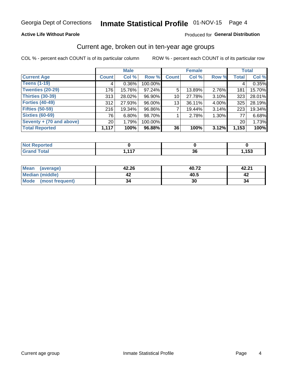#### **Active Life Without Parole**

#### Produced for General Distribution

### Current age, broken out in ten-year age groups

COL % - percent each COUNT is of its particular column

|                          | <b>Male</b>     |          |         |              | <b>Female</b> |       |                 | <b>Total</b> |
|--------------------------|-----------------|----------|---------|--------------|---------------|-------|-----------------|--------------|
| <b>Current Age</b>       | <b>Count</b>    | Col %    | Row %   | <b>Count</b> | Col %         | Row % | <b>Total</b>    | Col %        |
| <b>Teens (1-19)</b>      | 4               | $0.36\%$ | 100.00% |              |               |       | 4               | 0.35%        |
| <b>Twenties (20-29)</b>  | 176             | 15.76%   | 97.24%  | 5            | 13.89%        | 2.76% | 181             | 15.70%       |
| Thirties (30-39)         | 313             | 28.02%   | 96.90%  | 10           | 27.78%        | 3.10% | 323             | 28.01%       |
| <b>Forties (40-49)</b>   | 312             | 27.93%   | 96.00%  | 13           | 36.11%        | 4.00% | 325             | 28.19%       |
| <b>Fifties (50-59)</b>   | 216             | 19.34%   | 96.86%  |              | 19.44%        | 3.14% | 223             | 19.34%       |
| <b>Sixties (60-69)</b>   | 76              | $6.80\%$ | 98.70%  |              | 2.78%         | 1.30% | 77              | 6.68%        |
| Seventy + (70 and above) | 20 <sub>1</sub> | 1.79%    | 100.00% |              |               |       | 20 <sub>1</sub> | 1.73%        |
| <b>Total Reported</b>    | 1,117           | 100%     | 96.88%  | 36           | 100%          | 3.12% | 1,153           | 100%         |

| orted<br>. <b>.</b> |             |                 |       |
|---------------------|-------------|-----------------|-------|
| <b>Total</b>        | $-447$<br>. | ^^<br><b>JU</b> | , 153 |

| Mean<br>(average)       | 42.26 | 40.72 | 42.21 |
|-------------------------|-------|-------|-------|
| Median (middle)         |       | 40.5  |       |
| Mode<br>(most frequent) | 34    | 30    | 34    |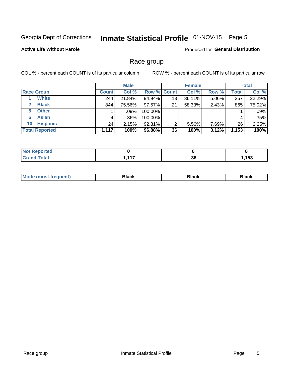## Inmate Statistical Profile 01-NOV-15 Page 5

#### **Active Life Without Parole**

Produced for General Distribution

### Race group

COL % - percent each COUNT is of its particular column

|                              | <b>Male</b>  |         |                    | <b>Female</b> |        |       | <b>Total</b> |        |
|------------------------------|--------------|---------|--------------------|---------------|--------|-------|--------------|--------|
| <b>Race Group</b>            | <b>Count</b> | Col %   | <b>Row % Count</b> |               | Col %  | Row % | <b>Total</b> | Col %  |
| <b>White</b>                 | 244          | 21.84%  | 94.94%             | 13            | 36.11% | 5.06% | 257          | 22.29% |
| <b>Black</b><br>$\mathbf{2}$ | 844          | 75.56%  | 97.57%             | 21            | 58.33% | 2.43% | 865          | 75.02% |
| <b>Other</b><br>5.           |              | $.09\%$ | 100.00%            |               |        |       |              | .09%   |
| <b>Asian</b><br>6            | 4            | $.36\%$ | 100.00%            |               |        |       | 4            | .35%   |
| <b>Hispanic</b><br>10        | 24           | 2.15%   | 92.31%             | 2             | 5.56%  | 7.69% | 26           | 2.25%  |
| <b>Total Reported</b>        | 1,117        | 100%    | 96.88%             | 36            | 100%   | 3.12% | 1,153        | 100%   |

| المناسبة بالتعمل المتعاد<br>тео<br>NO |       |    |      |
|---------------------------------------|-------|----|------|
| $F0+0$                                | 4 4 7 | ^^ | ,153 |
| _____                                 |       | კნ |      |

| –•••• |  | M |  |  |  |
|-------|--|---|--|--|--|
|-------|--|---|--|--|--|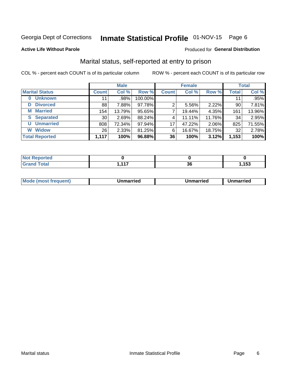## Inmate Statistical Profile 01-NOV-15 Page 6

#### **Active Life Without Parole**

#### Produced for General Distribution

### Marital status, self-reported at entry to prison

COL % - percent each COUNT is of its particular column

| <b>Male</b>           |                 |        | <b>Female</b> | <b>Total</b> |        |        |       |        |
|-----------------------|-----------------|--------|---------------|--------------|--------|--------|-------|--------|
| <b>Marital Status</b> | <b>Count</b>    | Col %  | Row %         | <b>Count</b> | Col %  | Row %  | Total | Col %  |
| <b>Unknown</b><br>0   | 11              | .98%   | 100.00%       |              |        |        | 11    | .95%   |
| <b>Divorced</b><br>D  | 88              | 7.88%  | 97.78%        | 2            | 5.56%  | 2.22%  | 90    | 7.81%  |
| <b>Married</b><br>М   | 154             | 13.79% | 95.65%        | ⇁            | 19.44% | 4.35%  | 161   | 13.96% |
| <b>Separated</b><br>S | 30 <sub>1</sub> | 2.69%  | 88.24%        | 4            | 11.11% | 11.76% | 34    | 2.95%  |
| <b>Unmarried</b><br>U | 808             | 72.34% | 97.94%        | 17           | 47.22% | 2.06%  | 825   | 71.55% |
| <b>Widow</b><br>W     | 26 <sub>1</sub> | 2.33%  | 81.25%        | 6            | 16.67% | 18.75% | 32    | 2.78%  |
| <b>Total Reported</b> | 1,117           | 100%   | 96.88%        | 36           | 100%   | 3.12%  | 1,153 | 100%   |

| rted<br>NO |                  |            |      |
|------------|------------------|------------|------|
|            | $\overline{447}$ | ^^<br>- JU | ,153 |

|  | M | . | Unmarried | າmarried<br>______ |
|--|---|---|-----------|--------------------|
|--|---|---|-----------|--------------------|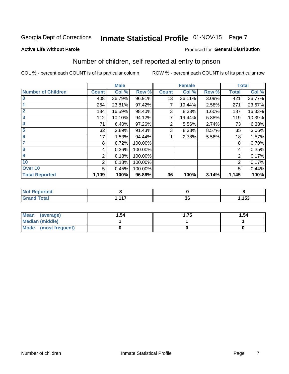## Inmate Statistical Profile 01-NOV-15 Page 7

#### **Active Life Without Parole**

#### **Produced for General Distribution**

## Number of children, self reported at entry to prison

COL % - percent each COUNT is of its particular column

|                           |              | <b>Male</b> |         |              | <b>Female</b> |       |              | <b>Total</b> |
|---------------------------|--------------|-------------|---------|--------------|---------------|-------|--------------|--------------|
| <b>Number of Children</b> | <b>Count</b> | Col %       | Row %   | <b>Count</b> | Col %         | Row % | <b>Total</b> | Col %        |
| $\overline{\mathbf{0}}$   | 408          | 36.79%      | 96.91%  | 13           | 36.11%        | 3.09% | 421          | 36.77%       |
|                           | 264          | 23.81%      | 97.42%  |              | 19.44%        | 2.58% | 271          | 23.67%       |
| $\overline{2}$            | 184          | 16.59%      | 98.40%  | 3            | 8.33%         | 1.60% | 187          | 16.33%       |
| $\overline{\mathbf{3}}$   | 112          | 10.10%      | 94.12%  | 7            | 19.44%        | 5.88% | 119          | 10.39%       |
| 4                         | 71           | 6.40%       | 97.26%  | 2            | 5.56%         | 2.74% | 73           | 6.38%        |
| $\overline{\mathbf{5}}$   | 32           | 2.89%       | 91.43%  | 3            | 8.33%         | 8.57% | 35           | 3.06%        |
| 6                         | 17           | 1.53%       | 94.44%  |              | 2.78%         | 5.56% | 18           | 1.57%        |
| 7                         | 8            | 0.72%       | 100.00% |              |               |       | 8            | 0.70%        |
| 8                         | 4            | 0.36%       | 100.00% |              |               |       | 4            | 0.35%        |
| $\boldsymbol{9}$          | 2            | 0.18%       | 100.00% |              |               |       | 2            | 0.17%        |
| 10                        | 2            | 0.18%       | 100.00% |              |               |       | 2            | 0.17%        |
| Over 10                   | 5            | 0.45%       | 100.00% |              |               |       | 5            | 0.44%        |
| <b>Total Reported</b>     | 1,109        | 100%        | 96.86%  | 36           | 100%          | 3.14% | 1,145        | 100%         |

| لمنصلهما<br>rtea |     |    |       |
|------------------|-----|----|-------|
| $T \sim 10^{-1}$ | 447 | ^^ | 4 E 2 |
| tal l            |     | vu | . סי  |

| Mean<br>(average)       | 1.54 | l.75 | 1.54 |
|-------------------------|------|------|------|
| <b>Median (middle)</b>  |      |      |      |
| Mode<br>(most frequent) |      |      |      |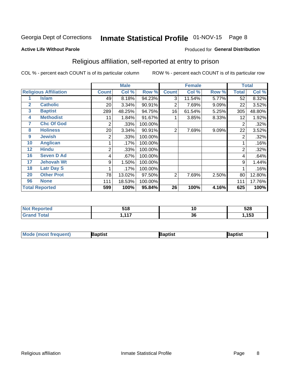#### Inmate Statistical Profile 01-NOV-15 Page 8

#### **Active Life Without Parole**

#### Produced for General Distribution

### Religious affiliation, self-reported at entry to prison

COL % - percent each COUNT is of its particular column

|              |                              |                | <b>Male</b> |         |              | <b>Female</b> |       |                | <b>Total</b> |
|--------------|------------------------------|----------------|-------------|---------|--------------|---------------|-------|----------------|--------------|
|              | <b>Religious Affiliation</b> | <b>Count</b>   | Col %       | Row %   | <b>Count</b> | Col %         | Row % | <b>Total</b>   | Col %        |
|              | Islam                        | 49             | 8.18%       | 94.23%  | 3            | 11.54%        | 5.77% | 52             | 8.32%        |
| $\mathbf{2}$ | <b>Catholic</b>              | 20             | 3.34%       | 90.91%  | 2            | 7.69%         | 9.09% | 22             | 3.52%        |
| 3            | <b>Baptist</b>               | 289            | 48.25%      | 94.75%  | 16           | 61.54%        | 5.25% | 305            | 48.80%       |
| 4            | <b>Methodist</b>             | 11             | 1.84%       | 91.67%  |              | 3.85%         | 8.33% | 12             | 1.92%        |
| 7            | <b>Chc Of God</b>            | 2              | .33%        | 100.00% |              |               |       | 2              | .32%         |
| 8            | <b>Holiness</b>              | 20             | 3.34%       | 90.91%  | 2            | 7.69%         | 9.09% | 22             | 3.52%        |
| 9            | <b>Jewish</b>                | 2              | .33%        | 100.00% |              |               |       | 2              | .32%         |
| 10           | <b>Anglican</b>              |                | .17%        | 100.00% |              |               |       |                | .16%         |
| 12           | <b>Hindu</b>                 | $\overline{2}$ | .33%        | 100.00% |              |               |       | $\overline{2}$ | .32%         |
| 16           | <b>Seven D Ad</b>            | 4              | .67%        | 100.00% |              |               |       | 4              | .64%         |
| 17           | <b>Jehovah Wt</b>            | 9              | 1.50%       | 100.00% |              |               |       | 9              | 1.44%        |
| 18           | <b>Latr Day S</b>            |                | .17%        | 100.00% |              |               |       |                | .16%         |
| 20           | <b>Other Prot</b>            | 78             | 13.02%      | 97.50%  | 2            | 7.69%         | 2.50% | 80             | 12.80%       |
| 96           | <b>None</b>                  | 111            | 18.53%      | 100.00% |              |               |       | 111            | 17.76%       |
|              | <b>Total Reported</b>        | 599            | 100%        | 95.84%  | 26           | 100%          | 4.16% | 625            | 100%         |

| rteo   | E40 | 10 | よつの |
|--------|-----|----|-----|
| .      | ло  |    | ാ∠േ |
| ______ | .   | 36 | 153 |

| <b>Mode (most frequent)</b> | 3aptist | 3aptist | Baptist |
|-----------------------------|---------|---------|---------|
|-----------------------------|---------|---------|---------|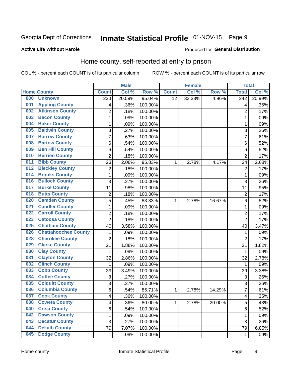## Inmate Statistical Profile 01-NOV-15 Page 9

#### **Active Life Without Parole**

#### Produced for General Distribution

### Home county, self-reported at entry to prison

COL % - percent each COUNT is of its particular column

|     |                             |                | <b>Male</b> |         |              | <b>Female</b> |        | <b>Total</b>   |        |
|-----|-----------------------------|----------------|-------------|---------|--------------|---------------|--------|----------------|--------|
|     | <b>Home County</b>          | <b>Count</b>   | Col %       | Row %   | <b>Count</b> | Col %         | Row %  | <b>Total</b>   | Col %  |
| 000 | <b>Unknown</b>              | 230            | 20.59%      | 95.04%  | 12           | 33.33%        | 4.96%  | 242            | 20.99% |
| 001 | <b>Appling County</b>       | 4              | .36%        | 100.00% |              |               |        | 4              | .35%   |
| 002 | <b>Atkinson County</b>      | $\overline{c}$ | .18%        | 100.00% |              |               |        | $\overline{2}$ | .17%   |
| 003 | <b>Bacon County</b>         | $\mathbf{1}$   | .09%        | 100.00% |              |               |        | 1              | .09%   |
| 004 | <b>Baker County</b>         | $\mathbf 1$    | .09%        | 100.00% |              |               |        | 1              | .09%   |
| 005 | <b>Baldwin County</b>       | 3              | .27%        | 100.00% |              |               |        | 3              | .26%   |
| 007 | <b>Barrow County</b>        | $\overline{7}$ | .63%        | 100.00% |              |               |        | 7              | .61%   |
| 008 | <b>Bartow County</b>        | 6              | .54%        | 100.00% |              |               |        | 6              | .52%   |
| 009 | <b>Ben Hill County</b>      | 6              | .54%        | 100.00% |              |               |        | 6              | .52%   |
| 010 | <b>Berrien County</b>       | $\overline{2}$ | .18%        | 100.00% |              |               |        | $\overline{2}$ | .17%   |
| 011 | <b>Bibb County</b>          | 23             | 2.06%       | 95.83%  | 1            | 2.78%         | 4.17%  | 24             | 2.08%  |
| 012 | <b>Bleckley County</b>      | $\overline{c}$ | .18%        | 100.00% |              |               |        | $\overline{2}$ | .17%   |
| 014 | <b>Brooks County</b>        | $\mathbf 1$    | .09%        | 100.00% |              |               |        | 1              | .09%   |
| 016 | <b>Bulloch County</b>       | 3              | .27%        | 100.00% |              |               |        | 3              | .26%   |
| 017 | <b>Burke County</b>         | 11             | .98%        | 100.00% |              |               |        | 11             | .95%   |
| 018 | <b>Butts County</b>         | 2              | .18%        | 100.00% |              |               |        | $\overline{2}$ | .17%   |
| 020 | <b>Camden County</b>        | 5              | .45%        | 83.33%  | 1            | 2.78%         | 16.67% | 6              | .52%   |
| 021 | <b>Candler County</b>       | $\mathbf 1$    | .09%        | 100.00% |              |               |        | 1              | .09%   |
| 022 | <b>Carroll County</b>       | $\overline{c}$ | .18%        | 100.00% |              |               |        | $\overline{2}$ | .17%   |
| 023 | <b>Catoosa County</b>       | $\overline{2}$ | .18%        | 100.00% |              |               |        | $\overline{2}$ | .17%   |
| 025 | <b>Chatham County</b>       | 40             | 3.58%       | 100.00% |              |               |        | 40             | 3.47%  |
| 026 | <b>Chattahoochee County</b> | $\mathbf{1}$   | .09%        | 100.00% |              |               |        | 1              | .09%   |
| 028 | <b>Cherokee County</b>      | $\overline{2}$ | .18%        | 100.00% |              |               |        | $\overline{2}$ | .17%   |
| 029 | <b>Clarke County</b>        | 21             | 1.88%       | 100.00% |              |               |        | 21             | 1.82%  |
| 030 | <b>Clay County</b>          | 1              | .09%        | 100.00% |              |               |        | $\mathbf 1$    | .09%   |
| 031 | <b>Clayton County</b>       | 32             | 2.86%       | 100.00% |              |               |        | 32             | 2.78%  |
| 032 | <b>Clinch County</b>        | 1              | .09%        | 100.00% |              |               |        | $\mathbf 1$    | .09%   |
| 033 | <b>Cobb County</b>          | 39             | 3.49%       | 100.00% |              |               |        | 39             | 3.38%  |
| 034 | <b>Coffee County</b>        | 3              | .27%        | 100.00% |              |               |        | 3              | .26%   |
| 035 | <b>Colquitt County</b>      | 3              | .27%        | 100.00% |              |               |        | 3              | .26%   |
| 036 | <b>Columbia County</b>      | 6              | .54%        | 85.71%  | 1            | 2.78%         | 14.29% | 7              | .61%   |
| 037 | <b>Cook County</b>          | 4              | .36%        | 100.00% |              |               |        | 4              | .35%   |
| 038 | <b>Coweta County</b>        | 4              | .36%        | 80.00%  | 1            | 2.78%         | 20.00% | 5              | .43%   |
| 040 | <b>Crisp County</b>         | 6              | .54%        | 100.00% |              |               |        | $\,6$          | .52%   |
| 042 | <b>Dawson County</b>        | $\mathbf 1$    | .09%        | 100.00% |              |               |        | 1              | .09%   |
| 043 | <b>Decatur County</b>       | 3              | .27%        | 100.00% |              |               |        | 3              | .26%   |
| 044 | <b>Dekalb County</b>        | 79             | 7.07%       | 100.00% |              |               |        | 79             | 6.85%  |
| 045 | <b>Dodge County</b>         | $\mathbf{1}$   | .09%        | 100.00% |              |               |        | 1              | .09%   |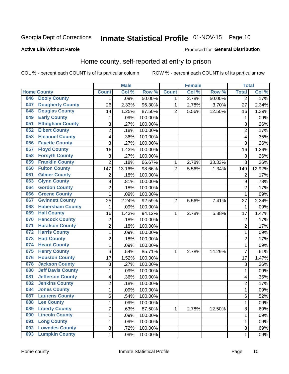## Inmate Statistical Profile 01-NOV-15 Page 10

#### **Active Life Without Parole**

#### Produced for General Distribution

### Home county, self-reported at entry to prison

COL % - percent each COUNT is of its particular column

|     |                          |                           | <b>Male</b> |         |                | <b>Female</b> |        | <b>Total</b>            |        |
|-----|--------------------------|---------------------------|-------------|---------|----------------|---------------|--------|-------------------------|--------|
|     | <b>Home County</b>       | <b>Count</b>              | Col %       | Row %   | <b>Count</b>   | Col %         | Row %  | <b>Total</b>            | Col %  |
| 046 | <b>Dooly County</b>      | $\mathbf 1$               | .09%        | 50.00%  | 1              | 2.78%         | 50.00% | $\overline{2}$          | .17%   |
| 047 | <b>Dougherty County</b>  | 26                        | 2.33%       | 96.30%  | 1              | 2.78%         | 3.70%  | 27                      | 2.34%  |
| 048 | <b>Douglas County</b>    | 14                        | 1.25%       | 87.50%  | $\overline{2}$ | 5.56%         | 12.50% | 16                      | 1.39%  |
| 049 | <b>Early County</b>      | 1                         | .09%        | 100.00% |                |               |        | 1                       | .09%   |
| 051 | <b>Effingham County</b>  | $\mathsf 3$               | .27%        | 100.00% |                |               |        | 3                       | .26%   |
| 052 | <b>Elbert County</b>     | 2                         | .18%        | 100.00% |                |               |        | $\overline{2}$          | .17%   |
| 053 | <b>Emanuel County</b>    | 4                         | .36%        | 100.00% |                |               |        | 4                       | .35%   |
| 056 | <b>Fayette County</b>    | 3                         | .27%        | 100.00% |                |               |        | 3                       | .26%   |
| 057 | <b>Floyd County</b>      | 16                        | 1.43%       | 100.00% |                |               |        | 16                      | 1.39%  |
| 058 | <b>Forsyth County</b>    | $\ensuremath{\mathsf{3}}$ | .27%        | 100.00% |                |               |        | 3                       | .26%   |
| 059 | <b>Franklin County</b>   | $\overline{2}$            | .18%        | 66.67%  | 1              | 2.78%         | 33.33% | $\overline{3}$          | .26%   |
| 060 | <b>Fulton County</b>     | 147                       | 13.16%      | 98.66%  | $\overline{2}$ | 5.56%         | 1.34%  | 149                     | 12.92% |
| 061 | <b>Gilmer County</b>     | 2                         | .18%        | 100.00% |                |               |        | $\overline{2}$          | .17%   |
| 063 | <b>Glynn County</b>      | $\boldsymbol{9}$          | .81%        | 100.00% |                |               |        | 9                       | .78%   |
| 064 | <b>Gordon County</b>     | $\overline{2}$            | .18%        | 100.00% |                |               |        | $\overline{2}$          | .17%   |
| 066 | <b>Greene County</b>     | 1                         | .09%        | 100.00% |                |               |        | 1                       | .09%   |
| 067 | <b>Gwinnett County</b>   | 25                        | 2.24%       | 92.59%  | $\overline{2}$ | 5.56%         | 7.41%  | 27                      | 2.34%  |
| 068 | <b>Habersham County</b>  | 1                         | .09%        | 100.00% |                |               |        | 1                       | .09%   |
| 069 | <b>Hall County</b>       | 16                        | 1.43%       | 94.12%  | 1              | 2.78%         | 5.88%  | 17                      | 1.47%  |
| 070 | <b>Hancock County</b>    | 2                         | .18%        | 100.00% |                |               |        | $\overline{2}$          | .17%   |
| 071 | <b>Haralson County</b>   | $\overline{2}$            | .18%        | 100.00% |                |               |        | $\overline{2}$          | .17%   |
| 072 | <b>Harris County</b>     | 1                         | .09%        | 100.00% |                |               |        | $\mathbf{1}$            | .09%   |
| 073 | <b>Hart County</b>       | $\overline{2}$            | .18%        | 100.00% |                |               |        | $\overline{2}$          | .17%   |
| 074 | <b>Heard County</b>      | 1                         | .09%        | 100.00% |                |               |        | 1                       | .09%   |
| 075 | <b>Henry County</b>      | 6                         | .54%        | 85.71%  | 1              | 2.78%         | 14.29% | $\overline{7}$          | .61%   |
| 076 | <b>Houston County</b>    | 17                        | 1.52%       | 100.00% |                |               |        | 17                      | 1.47%  |
| 078 | <b>Jackson County</b>    | $\mathsf 3$               | .27%        | 100.00% |                |               |        | 3                       | .26%   |
| 080 | <b>Jeff Davis County</b> | 1                         | .09%        | 100.00% |                |               |        | 1                       | .09%   |
| 081 | <b>Jefferson County</b>  | 4                         | .36%        | 100.00% |                |               |        | $\overline{\mathbf{4}}$ | .35%   |
| 082 | <b>Jenkins County</b>    | $\overline{2}$            | .18%        | 100.00% |                |               |        | $\overline{2}$          | .17%   |
| 084 | <b>Jones County</b>      | $\mathbf{1}$              | .09%        | 100.00% |                |               |        | 1                       | .09%   |
| 087 | <b>Laurens County</b>    | 6                         | .54%        | 100.00% |                |               |        | 6                       | .52%   |
| 088 | <b>Lee County</b>        | $\mathbf{1}$              | .09%        | 100.00% |                |               |        | 1                       | .09%   |
| 089 | <b>Liberty County</b>    | 7                         | .63%        | 87.50%  | $\mathbf{1}$   | 2.78%         | 12.50% | 8                       | .69%   |
| 090 | <b>Lincoln County</b>    | 1                         | .09%        | 100.00% |                |               |        | 1                       | .09%   |
| 091 | <b>Long County</b>       | 1                         | .09%        | 100.00% |                |               |        | 1                       | .09%   |
| 092 | <b>Lowndes County</b>    | 8                         | .72%        | 100.00% |                |               |        | 8                       | .69%   |
| 093 | <b>Lumpkin County</b>    | $\mathbf 1$               | .09%        | 100.00% |                |               |        | 1                       | .09%   |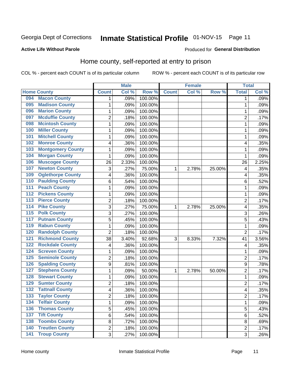## Inmate Statistical Profile 01-NOV-15 Page 11

#### **Active Life Without Parole**

#### Produced for General Distribution

### Home county, self-reported at entry to prison

COL % - percent each COUNT is of its particular column

|                  |                          |                         | <b>Male</b> |         |              | <b>Female</b> |        | <b>Total</b>   |       |
|------------------|--------------------------|-------------------------|-------------|---------|--------------|---------------|--------|----------------|-------|
|                  | <b>Home County</b>       | <b>Count</b>            | Col %       | Row %   | <b>Count</b> | Col %         | Row %  | <b>Total</b>   | Col % |
| 094              | <b>Macon County</b>      | 1                       | .09%        | 100.00% |              |               |        | 1              | .09%  |
| 095              | <b>Madison County</b>    | 1                       | .09%        | 100.00% |              |               |        | 1              | .09%  |
| 096              | <b>Marion County</b>     | $\mathbf 1$             | .09%        | 100.00% |              |               |        | 1              | .09%  |
| 097              | <b>Mcduffie County</b>   | 2                       | .18%        | 100.00% |              |               |        | $\overline{2}$ | .17%  |
| 098              | <b>Mcintosh County</b>   | $\mathbf 1$             | .09%        | 100.00% |              |               |        | 1              | .09%  |
| 100              | <b>Miller County</b>     | $\mathbf 1$             | .09%        | 100.00% |              |               |        | 1              | .09%  |
| 101              | <b>Mitchell County</b>   | 1                       | .09%        | 100.00% |              |               |        | 1              | .09%  |
| 102              | <b>Monroe County</b>     | 4                       | .36%        | 100.00% |              |               |        | 4              | .35%  |
| 103              | <b>Montgomery County</b> | 1                       | .09%        | 100.00% |              |               |        | 1              | .09%  |
| 104              | <b>Morgan County</b>     | 1                       | .09%        | 100.00% |              |               |        | 1              | .09%  |
| 106              | <b>Muscogee County</b>   | 26                      | 2.33%       | 100.00% |              |               |        | 26             | 2.25% |
| 107              | <b>Newton County</b>     | 3                       | .27%        | 75.00%  | 1            | 2.78%         | 25.00% | 4              | .35%  |
| 109              | <b>Oglethorpe County</b> | 4                       | .36%        | 100.00% |              |               |        | 4              | .35%  |
| 110              | <b>Paulding County</b>   | 6                       | .54%        | 100.00% |              |               |        | 6              | .52%  |
| 111              | <b>Peach County</b>      | 1                       | .09%        | 100.00% |              |               |        | 1              | .09%  |
| 112              | <b>Pickens County</b>    | 1                       | .09%        | 100.00% |              |               |        | 1              | .09%  |
| 113              | <b>Pierce County</b>     | $\overline{2}$          | .18%        | 100.00% |              |               |        | $\overline{2}$ | .17%  |
| 114              | <b>Pike County</b>       | 3                       | .27%        | 75.00%  | 1            | 2.78%         | 25.00% | 4              | .35%  |
| $\overline{115}$ | <b>Polk County</b>       | 3                       | .27%        | 100.00% |              |               |        | 3              | .26%  |
| 117              | <b>Putnam County</b>     | 5                       | .45%        | 100.00% |              |               |        | 5              | .43%  |
| 119              | <b>Rabun County</b>      | $\mathbf{1}$            | .09%        | 100.00% |              |               |        | 1              | .09%  |
| 120              | <b>Randolph County</b>   | $\overline{2}$          | .18%        | 100.00% |              |               |        | $\overline{2}$ | .17%  |
| $121$            | <b>Richmond County</b>   | 38                      | 3.40%       | 92.68%  | 3            | 8.33%         | 7.32%  | 41             | 3.56% |
| 122              | <b>Rockdale County</b>   | $\overline{\mathbf{4}}$ | .36%        | 100.00% |              |               |        | 4              | .35%  |
| 124              | <b>Screven County</b>    | $\mathbf 1$             | .09%        | 100.00% |              |               |        | 1              | .09%  |
| 125              | <b>Seminole County</b>   | $\overline{c}$          | .18%        | 100.00% |              |               |        | $\overline{2}$ | .17%  |
| 126              | <b>Spalding County</b>   | $\boldsymbol{9}$        | .81%        | 100.00% |              |               |        | 9              | .78%  |
| 127              | <b>Stephens County</b>   | $\mathbf 1$             | .09%        | 50.00%  | 1            | 2.78%         | 50.00% | $\overline{2}$ | .17%  |
| 128              | <b>Stewart County</b>    | $\mathbf 1$             | .09%        | 100.00% |              |               |        | 1              | .09%  |
| 129              | <b>Sumter County</b>     | $\overline{c}$          | .18%        | 100.00% |              |               |        | $\overline{2}$ | .17%  |
| 132              | <b>Tattnall County</b>   | 4                       | .36%        | 100.00% |              |               |        | 4              | .35%  |
| 133              | <b>Taylor County</b>     | 2                       | .18%        | 100.00% |              |               |        | $\overline{c}$ | .17%  |
| 134              | <b>Telfair County</b>    | $\mathbf{1}$            | .09%        | 100.00% |              |               |        | 1              | .09%  |
| 136              | <b>Thomas County</b>     | 5                       | .45%        | 100.00% |              |               |        | 5              | .43%  |
| 137              | <b>Tift County</b>       | $\overline{6}$          | .54%        | 100.00% |              |               |        | 6              | .52%  |
| 138              | <b>Toombs County</b>     | 8                       | .72%        | 100.00% |              |               |        | 8              | .69%  |
| 140              | <b>Treutlen County</b>   | $\overline{2}$          | .18%        | 100.00% |              |               |        | $\overline{2}$ | .17%  |
| $\overline{141}$ | <b>Troup County</b>      | 3                       | .27%        | 100.00% |              |               |        | $\overline{3}$ | .26%  |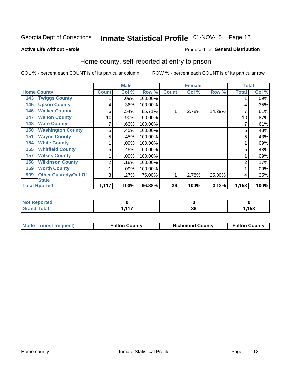## Inmate Statistical Profile 01-NOV-15 Page 12

#### **Active Life Without Parole**

#### Produced for General Distribution

### Home county, self-reported at entry to prison

COL % - percent each COUNT is of its particular column

|                                    |              | <b>Male</b> |         |              | <b>Female</b> |        | <b>Total</b> |       |
|------------------------------------|--------------|-------------|---------|--------------|---------------|--------|--------------|-------|
| <b>Home County</b>                 | <b>Count</b> | Col %       | Row %   | <b>Count</b> | Col %         | Row %  | <b>Total</b> | Col % |
| <b>Twiggs County</b><br>143        |              | .09%        | 100.00% |              |               |        |              | .09%  |
| <b>Upson County</b><br>145         | 4            | .36%        | 100.00% |              |               |        | 4            | .35%  |
| <b>Walker County</b><br>146        | 6            | .54%        | 85.71%  | 1            | 2.78%         | 14.29% |              | .61%  |
| <b>Walton County</b><br>147        | 10           | .90%        | 100.00% |              |               |        | 10           | .87%  |
| <b>Ware County</b><br>148          | 7            | .63%        | 100.00% |              |               |        |              | .61%  |
| <b>Washington County</b><br>150    | 5            | .45%        | 100.00% |              |               |        | 5            | .43%  |
| <b>Wayne County</b><br>151         | 5            | .45%        | 100.00% |              |               |        | 5            | .43%  |
| <b>White County</b><br>154         |              | .09%        | 100.00% |              |               |        |              | .09%  |
| <b>Whitfield County</b><br>155     | 5            | .45%        | 100.00% |              |               |        | 5            | .43%  |
| <b>Wilkes County</b><br>157        |              | .09%        | 100.00% |              |               |        |              | .09%  |
| <b>Wilkinson County</b><br>158     | 2            | .18%        | 100.00% |              |               |        | 2            | .17%  |
| <b>Worth County</b><br>159         | 1            | .09%        | 100.00% |              |               |        |              | .09%  |
| <b>Other Custody/Out Of</b><br>999 | 3            | .27%        | 75.00%  | 1            | 2.78%         | 25.00% | 4            | .35%  |
| <b>State</b>                       |              |             |         |              |               |        |              |       |
| <b>Total Rported</b>               | 1,117        | 100%        | 96.88%  | 36           | 100%          | 3.12%  | 1,153        | 100%  |

| <b>eported</b> |                  |    |      |
|----------------|------------------|----|------|
| <b>otal</b>    | $\overline{447}$ | ~  | 152  |
|                | .                | vv | נטו, |

|  | Mode (most frequent) | <b>Fulton County</b> | <b>Richmond County</b> | <b>Fulton County</b> |
|--|----------------------|----------------------|------------------------|----------------------|
|--|----------------------|----------------------|------------------------|----------------------|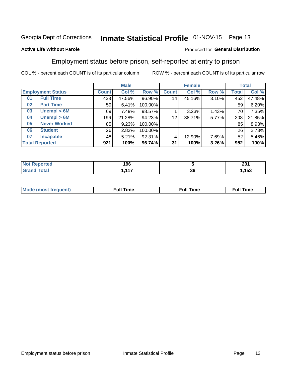## Inmate Statistical Profile 01-NOV-15 Page 13

#### **Active Life Without Parole**

#### Produced for General Distribution

### Employment status before prison, self-reported at entry to prison

COL % - percent each COUNT is of its particular column

|                           |              | <b>Male</b> |         |                 | <b>Female</b> |       |       | <b>Total</b> |
|---------------------------|--------------|-------------|---------|-----------------|---------------|-------|-------|--------------|
| <b>Employment Status</b>  | <b>Count</b> | Col %       | Row %   | <b>Count</b>    | Col %         | Row % | Total | Col %        |
| <b>Full Time</b><br>01    | 438          | 47.56%      | 96.90%  | 14 <sub>1</sub> | 45.16%        | 3.10% | 452   | 47.48%       |
| <b>Part Time</b><br>02    | 59           | 6.41%       | 100.00% |                 |               |       | 59    | 6.20%        |
| Unempl $<$ 6M<br>03       | 69           | 7.49%       | 98.57%  |                 | 3.23%         | 1.43% | 70    | 7.35%        |
| Unempl $> 6M$<br>04       | 196          | 21.28%      | 94.23%  | 12              | 38.71%        | 5.77% | 208   | 21.85%       |
| <b>Never Worked</b><br>05 | 85           | 9.23%       | 100.00% |                 |               |       | 85    | 8.93%        |
| <b>Student</b><br>06      | 26           | 2.82%       | 100.00% |                 |               |       | 26    | 2.73%        |
| <b>Incapable</b><br>07    | 48           | 5.21%       | 92.31%  |                 | 12.90%        | 7.69% | 52    | 5.46%        |
| <b>Total Reported</b>     | 921          | 100%        | 96.74%  | 31              | 100%          | 3.26% | 952   | 100%         |

| 196                       |    | 201<br>ZV I         |
|---------------------------|----|---------------------|
| .<br><b>A</b> 4<br>.<br>. | 36 | $1 - \alpha$<br>153 |

| Mc | ∙u∥<br>----<br>ıme | ίuΙ<br>Πmε |
|----|--------------------|------------|
|    |                    |            |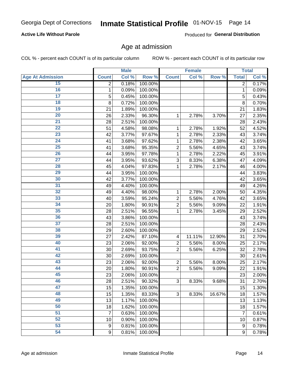#### **Active Life Without Parole**

Produced for General Distribution

### Age at admission

COL % - percent each COUNT is of its particular column

|                         | <b>Male</b>  |       | <b>Female</b> |                |        | <b>Total</b> |                  |       |
|-------------------------|--------------|-------|---------------|----------------|--------|--------------|------------------|-------|
| <b>Age At Admission</b> | <b>Count</b> | Col % | Row %         | <b>Count</b>   | Col %  | Row %        | <b>Total</b>     | Col % |
| 15                      | 2            | 0.18% | 100.00%       |                |        |              | 2                | 0.17% |
| 16                      | 1            | 0.09% | 100.00%       |                |        |              | $\mathbf{1}$     | 0.09% |
| $\overline{17}$         | 5            | 0.45% | 100.00%       |                |        |              | 5                | 0.43% |
| 18                      | 8            | 0.72% | 100.00%       |                |        |              | 8                | 0.70% |
| 19                      | 21           | 1.89% | 100.00%       |                |        |              | 21               | 1.83% |
| $\overline{20}$         | 26           | 2.33% | 96.30%        | 1              | 2.78%  | 3.70%        | 27               | 2.35% |
| 21                      | 28           | 2.51% | 100.00%       |                |        |              | 28               | 2.43% |
| 22                      | 51           | 4.58% | 98.08%        | 1              | 2.78%  | 1.92%        | 52               | 4.52% |
| 23                      | 42           | 3.77% | 97.67%        | 1              | 2.78%  | 2.33%        | 43               | 3.74% |
| 24                      | 41           | 3.68% | 97.62%        | 1              | 2.78%  | 2.38%        | 42               | 3.65% |
| $\overline{25}$         | 41           | 3.68% | 95.35%        | $\overline{2}$ | 5.56%  | 4.65%        | 43               | 3.74% |
| 26                      | 44           | 3.95% | 97.78%        | 1              | 2.78%  | 2.22%        | 45               | 3.91% |
| $\overline{27}$         | 44           | 3.95% | 93.62%        | 3              | 8.33%  | 6.38%        | 47               | 4.09% |
| 28                      | 45           | 4.04% | 97.83%        | 1              | 2.78%  | 2.17%        | 46               | 4.00% |
| 29                      | 44           | 3.95% | 100.00%       |                |        |              | 44               | 3.83% |
| 30                      | 42           | 3.77% | 100.00%       |                |        |              | 42               | 3.65% |
| 31                      | 49           | 4.40% | 100.00%       |                |        |              | 49               | 4.26% |
| 32                      | 49           | 4.40% | 98.00%        | 1              | 2.78%  | 2.00%        | 50               | 4.35% |
| 33                      | 40           | 3.59% | 95.24%        | $\overline{2}$ | 5.56%  | 4.76%        | 42               | 3.65% |
| 34                      | 20           | 1.80% | 90.91%        | $\overline{2}$ | 5.56%  | 9.09%        | 22               | 1.91% |
| 35                      | 28           | 2.51% | 96.55%        | 1              | 2.78%  | 3.45%        | 29               | 2.52% |
| 36                      | 43           | 3.86% | 100.00%       |                |        |              | 43               | 3.74% |
| $\overline{37}$         | 28           | 2.51% | 100.00%       |                |        |              | 28               | 2.43% |
| 38                      | 29           | 2.60% | 100.00%       |                |        |              | 29               | 2.52% |
| 39                      | 27           | 2.42% | 87.10%        | 4              | 11.11% | 12.90%       | 31               | 2.70% |
| 40                      | 23           | 2.06% | 92.00%        | $\overline{2}$ | 5.56%  | 8.00%        | 25               | 2.17% |
| 41                      | 30           | 2.69% | 93.75%        | $\overline{2}$ | 5.56%  | 6.25%        | 32               | 2.78% |
| 42                      | 30           | 2.69% | 100.00%       |                |        |              | 30               | 2.61% |
| 43                      | 23           | 2.06% | 92.00%        | $\overline{2}$ | 5.56%  | 8.00%        | 25               | 2.17% |
| 44                      | 20           | 1.80% | 90.91%        | $\overline{2}$ | 5.56%  | 9.09%        | 22               | 1.91% |
| 45                      | 23           | 2.06% | 100.00%       |                |        |              | 23               | 2.00% |
| 46                      | 28           | 2.51% | 90.32%        | 3              | 8.33%  | 9.68%        | 31               | 2.70% |
| 47                      | 15           | 1.35% | 100.00%       |                |        |              | 15               | 1.30% |
| 48                      | 15           | 1.35% | 83.33%        | 3              | 8.33%  | 16.67%       | 18               | 1.57% |
| 49                      | 13           | 1.17% | 100.00%       |                |        |              | 13               | 1.13% |
| 50                      | 18           | 1.62% | 100.00%       |                |        |              | 18               | 1.57% |
| $\overline{51}$         | 7            | 0.63% | 100.00%       |                |        |              | $\overline{7}$   | 0.61% |
| 52                      | 10           | 0.90% | 100.00%       |                |        |              | 10               | 0.87% |
| 53                      | 9            | 0.81% | 100.00%       |                |        |              | $\boldsymbol{9}$ | 0.78% |
| 54                      | 9            | 0.81% | 100.00%       |                |        |              | 9                | 0.78% |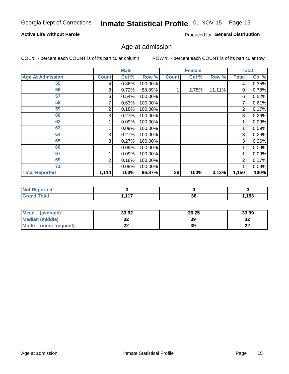#### **Active Life Without Parole**

Produced for General Distribution

### Age at admission

COL % - percent each COUNT is of its particular column

|                         |              | <b>Male</b> |         |              | <b>Female</b> |        |       | <b>Total</b> |
|-------------------------|--------------|-------------|---------|--------------|---------------|--------|-------|--------------|
| <b>Age At Admission</b> | <b>Count</b> | Col %       | Row %   | <b>Count</b> | Col %         | Row %  | Total | Col %        |
| 55                      | 4            | 0.36%       | 100.00% |              |               |        | 4     | 0.35%        |
| 56                      | 8            | 0.72%       | 88.89%  |              | 2.78%         | 11.11% | 9     | 0.78%        |
| 57                      | 6            | 0.54%       | 100.00% |              |               |        | 6     | 0.52%        |
| 58                      |              | 0.63%       | 100.00% |              |               |        | 7     | 0.61%        |
| 59                      | 2            | 0.18%       | 100.00% |              |               |        | 2     | 0.17%        |
| 60                      | 3            | 0.27%       | 100.00% |              |               |        | 3     | 0.26%        |
| 62                      |              | 0.09%       | 100.00% |              |               |        |       | 0.09%        |
| 63                      |              | 0.09%       | 100.00% |              |               |        |       | 0.09%        |
| 64                      | 3            | 0.27%       | 100.00% |              |               |        | 3     | 0.26%        |
| 65                      | 3            | 0.27%       | 100.00% |              |               |        | 3     | 0.26%        |
| 66                      |              | 0.09%       | 100.00% |              |               |        |       | 0.09%        |
| 67                      |              | 0.09%       | 100.00% |              |               |        |       | 0.09%        |
| 69                      | 2            | 0.18%       | 100.00% |              |               |        | 2     | 0.17%        |
| 71                      |              | 0.09%       | 100.00% |              |               |        |       | 0.09%        |
| <b>Total Reported</b>   | 1,114        | 100%        | 96.87%  | 36           | 100%          | 3.13%  | 1,150 | 100%         |

| prted               |                  |          |      |
|---------------------|------------------|----------|------|
| $f \circ f \circ f$ | $\overline{447}$ | ^^<br>კნ | ,153 |

| <b>Mean</b><br>(average) | 33.92 | 36.25 | 33.99    |
|--------------------------|-------|-------|----------|
| Median (middle)          | JZ    | 39    | 32       |
| Mode<br>(most frequent)  | LL    | 39    | n.<br>LL |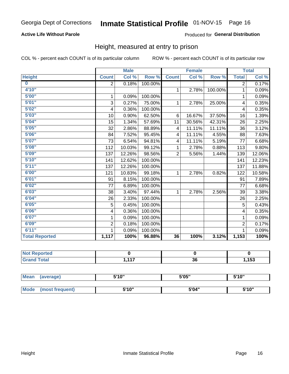#### **Active Life Without Parole**

#### Produced for General Distribution

### Height, measured at entry to prison

COL % - percent each COUNT is of its particular column

|                       |                | <b>Male</b> |         |                | <b>Female</b> |         |                | <b>Total</b> |
|-----------------------|----------------|-------------|---------|----------------|---------------|---------|----------------|--------------|
| <b>Height</b>         | <b>Count</b>   | Col %       | Row %   | <b>Count</b>   | Col %         | Row %   | <b>Total</b>   | Col %        |
| $\bf{0}$              | $\overline{2}$ | 0.18%       | 100.00% |                |               |         | $\overline{2}$ | 0.17%        |
| 4'10"                 |                |             |         | $\mathbf{1}$   | 2.78%         | 100.00% | 1              | 0.09%        |
| 5'00''                | 1              | 0.09%       | 100.00% |                |               |         | 1              | 0.09%        |
| 5'01"                 | 3              | 0.27%       | 75.00%  | 1              | 2.78%         | 25.00%  | 4              | 0.35%        |
| 5'02"                 | 4              | 0.36%       | 100.00% |                |               |         | 4              | 0.35%        |
| 5'03''                | 10             | 0.90%       | 62.50%  | 6              | 16.67%        | 37.50%  | 16             | 1.39%        |
| 5'04"                 | 15             | 1.34%       | 57.69%  | 11             | 30.56%        | 42.31%  | 26             | 2.25%        |
| 5'05"                 | 32             | 2.86%       | 88.89%  | 4              | 11.11%        | 11.11%  | 36             | 3.12%        |
| 5'06''                | 84             | 7.52%       | 95.45%  | 4              | 11.11%        | 4.55%   | 88             | 7.63%        |
| 5'07''                | 73             | 6.54%       | 94.81%  | 4              | 11.11%        | 5.19%   | 77             | 6.68%        |
| 5'08''                | 112            | 10.03%      | 99.12%  | 1              | 2.78%         | 0.88%   | 113            | 9.80%        |
| 5'09''                | 137            | 12.26%      | 98.56%  | $\overline{2}$ | 5.56%         | 1.44%   | 139            | 12.06%       |
| 5'10''                | 141            | 12.62%      | 100.00% |                |               |         | 141            | 12.23%       |
| 5'11"                 | 137            | 12.26%      | 100.00% |                |               |         | 137            | 11.88%       |
| 6'00''                | 121            | 10.83%      | 99.18%  | 1              | 2.78%         | 0.82%   | 122            | 10.58%       |
| 6'01''                | 91             | 8.15%       | 100.00% |                |               |         | 91             | 7.89%        |
| 6'02"                 | 77             | 6.89%       | 100.00% |                |               |         | 77             | 6.68%        |
| 6'03''                | 38             | 3.40%       | 97.44%  | $\mathbf{1}$   | 2.78%         | 2.56%   | 39             | 3.38%        |
| 6'04"                 | 26             | 2.33%       | 100.00% |                |               |         | 26             | 2.25%        |
| 6'05"                 | 5              | 0.45%       | 100.00% |                |               |         | 5              | 0.43%        |
| 6'06''                | 4              | 0.36%       | 100.00% |                |               |         | $\overline{4}$ | 0.35%        |
| 6'07''                | 1              | 0.09%       | 100.00% |                |               |         | 1              | 0.09%        |
| 6'09''                | $\overline{2}$ | 0.18%       | 100.00% |                |               |         | $\overline{2}$ | 0.17%        |
| 6'11''                | $\mathbf{1}$   | 0.09%       | 100.00% |                |               |         | 1              | 0.09%        |
| <b>Total Reported</b> | 1,117          | 100%        | 96.88%  | 36             | 100%          | 3.12%   | 1,153          | 100%         |

| <b>Not Reported</b> |                  |                |                |
|---------------------|------------------|----------------|----------------|
| <i>i</i> otal       | $\overline{447}$ | $\alpha$<br>ახ | .452<br>, I JJ |

| <b>Mean</b> | (average)       | 5'10" | 5'05" | 5'10"<br>ັ |
|-------------|-----------------|-------|-------|------------|
|             |                 |       |       |            |
| Mode        | (most frequent) | 5'10" | 5'04" | 5'10"      |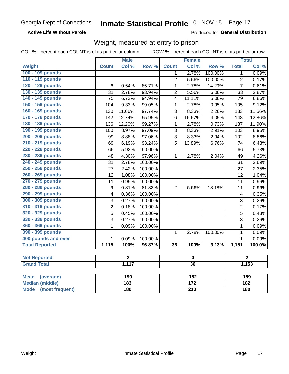**Active Life Without Parole** 

Produced for General Distribution

### Weight, measured at entry to prison

COL % - percent each COUNT is of its particular column

|                       |                | <b>Male</b>    |         | <b>Female</b>  |                         |         | <b>Total</b>   |        |
|-----------------------|----------------|----------------|---------|----------------|-------------------------|---------|----------------|--------|
| Weight                | <b>Count</b>   | Col%           | Row %   | <b>Count</b>   | Col %                   | Row %   | <b>Total</b>   | Col%   |
| 100 - 109 pounds      |                |                |         | 1              | 2.78%                   | 100.00% | 1              | 0.09%  |
| 110 - 119 pounds      |                |                |         | $\overline{2}$ | 5.56%                   | 100.00% | $\overline{2}$ | 0.17%  |
| 120 - 129 pounds      | $\,6$          | 0.54%          | 85.71%  | $\mathbf{1}$   | 2.78%                   | 14.29%  | $\overline{7}$ | 0.61%  |
| 130 - 139 pounds      | 31             | 2.78%          | 93.94%  | $\overline{2}$ | 5.56%                   | 6.06%   | 33             | 2.87%  |
| 140 - 149 pounds      | 75             | 6.73%          | 94.94%  | 4              | 11.11%                  | 5.06%   | 79             | 6.86%  |
| 150 - 159 pounds      | 104            | 9.33%          | 99.05%  | $\mathbf{1}$   | 2.78%                   | 0.95%   | 105            | 9.12%  |
| 160 - 169 pounds      | 130            | 11.66%         | 97.74%  | 3              | 8.33%                   | 2.26%   | 133            | 11.56% |
| 170 - 179 pounds      | 142            | 12.74%         | 95.95%  | $\,6$          | 16.67%                  | 4.05%   | 148            | 12.86% |
| 180 - 189 pounds      | 136            | 12.20%         | 99.27%  | 1              | 2.78%                   | 0.73%   | 137            | 11.90% |
| 190 - 199 pounds      | 100            | 8.97%          | 97.09%  | 3              | 8.33%                   | 2.91%   | 103            | 8.95%  |
| 200 - 209 pounds      | 99             | 8.88%          | 97.06%  | 3              | 8.33%                   | 2.94%   | 102            | 8.86%  |
| 210 - 219 pounds      | 69             | 6.19%          | 93.24%  | 5              | 13.89%                  | 6.76%   | 74             | 6.43%  |
| 220 - 229 pounds      | 66             | 5.92%          | 100.00% |                |                         |         | 66             | 5.73%  |
| 230 - 239 pounds      | 48             | 4.30%          | 97.96%  | $\mathbf{1}$   | 2.78%                   | 2.04%   | 49             | 4.26%  |
| 240 - 249 pounds      | 31             | 2.78%          | 100.00% |                |                         |         | 31             | 2.69%  |
| 250 - 259 pounds      | 27             | 2.42%          | 100.00% |                |                         |         | 27             | 2.35%  |
| 260 - 269 pounds      | 12             | 1.08%          | 100.00% |                |                         |         | 12             | 1.04%  |
| 270 - 279 pounds      | 11             | 0.99%          | 100.00% |                |                         |         | 11             | 0.96%  |
| 280 - 289 pounds      | 9              | 0.81%          | 81.82%  | $\overline{2}$ | 5.56%                   | 18.18%  | 11             | 0.96%  |
| 290 - 299 pounds      | 4              | 0.36%          | 100.00% |                |                         |         | 4              | 0.35%  |
| 300 - 309 pounds      | $\overline{3}$ | 0.27%          | 100.00% |                |                         |         | $\overline{3}$ | 0.26%  |
| 310 - 319 pounds      | $\overline{2}$ | 0.18%          | 100.00% |                |                         |         | $\overline{2}$ | 0.17%  |
| 320 - 329 pounds      | $\overline{5}$ | 0.45%          | 100.00% |                |                         |         | 5              | 0.43%  |
| 330 - 339 pounds      | 3              | 0.27%          | 100.00% |                |                         |         | 3              | 0.26%  |
| 360 - 369 pounds      | $\mathbf{1}$   | 0.09%          | 100.00% |                |                         |         | $\mathbf{1}$   | 0.09%  |
| 390 - 399 pounds      |                |                |         | 1              | 2.78%                   | 100.00% | 1              | 0.09%  |
| 400 pounds and over   | $\mathbf{1}$   | 0.09%          | 100.00% |                |                         |         | $\mathbf{1}$   | 0.09%  |
| <b>Total Reported</b> | 1,115          | 100%           | 96.87%  | 36             | 100%                    | 3.13%   | 1,151          | 100.0% |
|                       |                |                |         |                |                         |         |                |        |
| <b>Not Reported</b>   |                | $\overline{2}$ |         |                | $\overline{\mathbf{0}}$ |         | $\overline{2}$ |        |
| <b>Grand Total</b>    |                | 1,117          |         |                | $\overline{36}$         |         |                | 1,153  |
| Moan (average)        |                | 100            |         |                | 192                     |         |                | 190    |

| Mean<br>(average)      | 190 | 182 | 189 |
|------------------------|-----|-----|-----|
| <b>Median (middle)</b> | 183 | 172 | 182 |
| Mode (most frequent)   | 180 | 210 | 180 |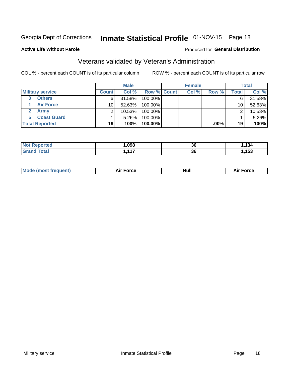## Inmate Statistical Profile 01-NOV-15 Page 18

#### **Active Life Without Parole**

#### Produced for General Distribution

## Veterans validated by Veteran's Administration

COL % - percent each COUNT is of its particular column

|                         |                       | <b>Male</b>  |           |                    | <b>Female</b> |       |         | <b>Total</b>    |        |
|-------------------------|-----------------------|--------------|-----------|--------------------|---------------|-------|---------|-----------------|--------|
| <b>Military service</b> |                       | <b>Count</b> | Col %     | <b>Row % Count</b> |               | Col % | Row %   | Total           | Col %  |
| 0                       | <b>Others</b>         | 6            | $31.58\%$ | 100.00%            |               |       |         | 6               | 31.58% |
|                         | <b>Air Force</b>      | 10           | 52.63%    | 100.00%            |               |       |         | 10 <sub>1</sub> | 52.63% |
|                         | Army                  | ◠            | 10.53%    | 100.00%            |               |       |         | ⌒               | 10.53% |
| 5                       | <b>Coast Guard</b>    |              | $5.26\%$  | 100.00%            |               |       |         |                 | 5.26%  |
|                         | <b>Total Reported</b> | 19           | 100%      | 100.00%            |               |       | $.00\%$ | 19              | 100%   |

| .098 | n,<br>οu | .          |
|------|----------|------------|
| 447  | n,       | <b>AE2</b> |
| .    | उ८       | v.         |

|  | <b>Mode (most frequent)</b> | Force<br><b>NU</b> | <b>Null</b> | ™orce<br>۹۱. |
|--|-----------------------------|--------------------|-------------|--------------|
|--|-----------------------------|--------------------|-------------|--------------|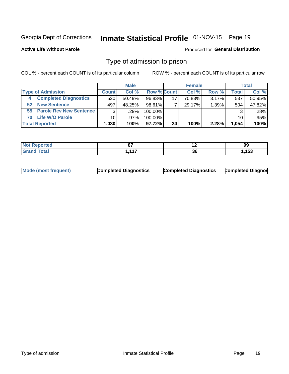## Inmate Statistical Profile 01-NOV-15 Page 19

**Active Life Without Parole** 

#### Produced for General Distribution

### Type of admission to prison

COL % - percent each COUNT is of its particular column

|    |                              |                 | <b>Male</b> |                    |    | <b>Female</b> |          |       | <b>Total</b> |
|----|------------------------------|-----------------|-------------|--------------------|----|---------------|----------|-------|--------------|
|    | <b>Type of Admission</b>     | <b>Count</b>    | Col %       | <b>Row % Count</b> |    | Col %         | Row %    | Total | Col %        |
| 4  | <b>Completed Diagnostics</b> | 520             | $50.49\%$   | 96.83%             | 17 | 70.83%        | $3.17\%$ | 537   | 50.95%       |
| 52 | <b>New Sentence</b>          | 497             | 48.25%      | 98.61%             |    | 29.17%        | 1.39%    | 504   | 47.82%       |
|    | 55 Parole Rev New Sentence   | 3               | .29%        | 100.00%            |    |               |          | 3     | .28%         |
| 70 | <b>Life W/O Parole</b>       | 10 <sup>1</sup> | $.97\%$     | 100.00%            |    |               |          | 10    | .95%         |
|    | <b>Total Reported</b>        | 1,030           | 100%        | 97.72%I            | 24 | 100%          | 2.28%    | 1,054 | 100%         |

| N<br>æ | ົ<br>$\sim$         | $\overline{\phantom{a}}$  | 99         |
|--------|---------------------|---------------------------|------------|
|        | $\overline{A}$<br>. | $\ddot{\phantom{0}}$<br>v | 4E2<br>נטו |

|  | Mode (most frequent) | <b>Completed Diagnostics</b> | <b>Completed Diagnostics</b> | <b>Completed Diagnos</b> |
|--|----------------------|------------------------------|------------------------------|--------------------------|
|--|----------------------|------------------------------|------------------------------|--------------------------|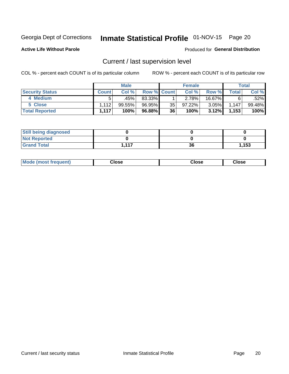## Inmate Statistical Profile 01-NOV-15 Page 20

**Active Life Without Parole** 

#### Produced for General Distribution

## Current / last supervision level

COL % - percent each COUNT is of its particular column

|                        |              | <b>Male</b> |             |    | <b>Female</b> |          |       | <b>Total</b> |
|------------------------|--------------|-------------|-------------|----|---------------|----------|-------|--------------|
| <b>Security Status</b> | <b>Count</b> | Col %       | Row % Count |    | Col %         | Row %    | Total | Col %        |
| 4 Medium               |              | .45%        | 83.33%      |    | 2.78%         | 16.67%   |       | $.52\%$      |
| 5 Close                | 1.112        | 99.55%      | 96.95%      | 35 | 97.22%        | $3.05\%$ | 1.147 | 99.48%       |
| <b>Total Reported</b>  | 1.117        | 100%        | 96.88%      | 36 | 100%          | 3.12%    | 1,153 | 100%         |

| <b>Still being diagnosed</b> |      |    |       |
|------------------------------|------|----|-------|
| <b>Not Reported</b>          |      |    |       |
| <b>Grand Total</b>           | -447 | 36 | 1,153 |

| <b>Mode (most frequent)</b> | Close | ∵lose | Close |
|-----------------------------|-------|-------|-------|
|                             |       |       |       |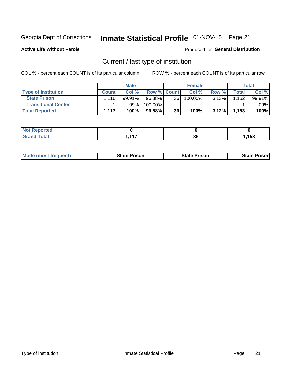## Inmate Statistical Profile 01-NOV-15 Page 21

**Active Life Without Parole** 

#### Produced for General Distribution

## Current / last type of institution

COL % - percent each COUNT is of its particular column

|                            |              | <b>Male</b> |                    |    | <b>Female</b> |       |                  | <b>Total</b> |
|----------------------------|--------------|-------------|--------------------|----|---------------|-------|------------------|--------------|
| <b>Type of Institution</b> | <b>Count</b> | Col %       | <b>Row % Count</b> |    | Col %         | Row % | Total            | Col %        |
| <b>State Prison</b>        | .116         | 99.91%      | 96.88%             | 36 | 100.00%       | 3.13% | 152 <sub>1</sub> | 99.91%       |
| <b>Transitional Center</b> |              | .09%        | 100.00%            |    |               |       |                  | $.09\%$ $ $  |
| <b>Total Reported</b>      | 1.117        | 100%        | 96.88%             | 36 | 100%          | 3.12% | 1,153            | 100%         |

| rted |     |          |                         |
|------|-----|----------|-------------------------|
|      | 447 | 00<br>ათ | 4E <sub>2</sub><br>נטו, |

|  | <b>Mode (most frequent)</b> | State Prison | <b>State Prison</b> | risonl<br>State |
|--|-----------------------------|--------------|---------------------|-----------------|
|--|-----------------------------|--------------|---------------------|-----------------|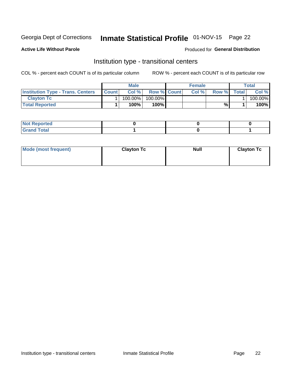## Inmate Statistical Profile 01-NOV-15 Page 22

#### **Active Life Without Parole**

#### Produced for General Distribution

### Institution type - transitional centers

COL % - percent each COUNT is of its particular column

|                                          |              | <b>Male</b> |                    | <b>Female</b> |       |              | <b>Total</b> |
|------------------------------------------|--------------|-------------|--------------------|---------------|-------|--------------|--------------|
| <b>Institution Type - Trans. Centers</b> | <b>Count</b> | Col%        | <b>Row % Count</b> | Col%          | Row % | <b>Total</b> | Col %        |
| <b>Clayton Tc</b>                        |              | 100.00%     | 100.00%            |               |       |              | 100.00%      |
| <b>Total Reported</b>                    |              | $100\%$     | 100%               |               | %     |              | 100%         |

| <b>Not Reported</b>    |  |  |
|------------------------|--|--|
| <b>Total</b><br>re e d |  |  |

| Mode (most frequent) | <b>Clayton Tc</b> | <b>Null</b> | <b>Clayton Tc</b> |
|----------------------|-------------------|-------------|-------------------|
|                      |                   |             |                   |
|                      |                   |             |                   |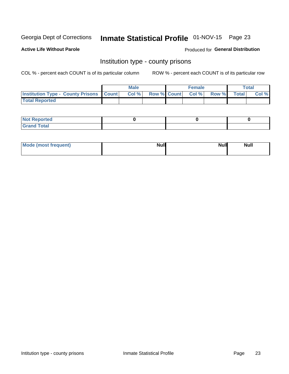## Inmate Statistical Profile 01-NOV-15 Page 23

**Active Life Without Parole** 

Produced for General Distribution

### Institution type - county prisons

COL % - percent each COUNT is of its particular column

|                                                    | <b>Male</b> |                          | <b>Female</b> |             | <b>Total</b> |
|----------------------------------------------------|-------------|--------------------------|---------------|-------------|--------------|
| <b>Institution Type - County Prisons   Count  </b> | Col %       | <b>Row % Count Col %</b> |               | Row % Total | Col %        |
| <b>Total Reported</b>                              |             |                          |               |             |              |

| <b>Not</b><br>: Reported<br> |  |  |
|------------------------------|--|--|
| <b>Total</b><br>---          |  |  |

| Mode (most frequent) | <b>Null</b> | <b>Null</b><br><b>Null</b> |
|----------------------|-------------|----------------------------|
|                      |             |                            |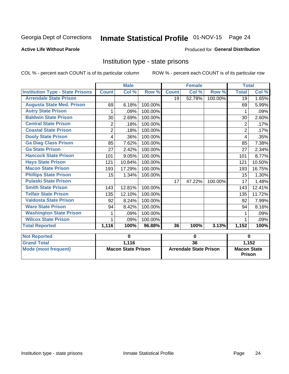## Inmate Statistical Profile 01-NOV-15 Page 24

#### **Active Life Without Parole**

#### Produced for General Distribution

### Institution type - state prisons

COL % - percent each COUNT is of its particular column

ROW % - percent each COUNT is of its particular row

|                                         |                | <b>Male</b>               |         |              | <b>Female</b>                 |         | <b>Total</b>       |        |
|-----------------------------------------|----------------|---------------------------|---------|--------------|-------------------------------|---------|--------------------|--------|
| <b>Institution Type - State Prisons</b> | <b>Count</b>   | Col %                     | Row %   | <b>Count</b> | Col %                         | Row %   | <b>Total</b>       | Col %  |
| <b>Arrendale State Prison</b>           |                |                           |         | 19           | 52.78%                        | 100.00% | 19                 | 1.65%  |
| <b>Augusta State Med. Prison</b>        | 69             | 6.18%                     | 100.00% |              |                               |         | 69                 | 5.99%  |
| <b>Autry State Prison</b>               | 1              | .09%                      | 100.00% |              |                               |         | 1                  | .09%   |
| <b>Baldwin State Prison</b>             | 30             | 2.69%                     | 100.00% |              |                               |         | 30                 | 2.60%  |
| <b>Central State Prison</b>             | 2              | .18%                      | 100.00% |              |                               |         | 2                  | .17%   |
| <b>Coastal State Prison</b>             | $\overline{2}$ | .18%                      | 100.00% |              |                               |         | $\overline{2}$     | .17%   |
| <b>Dooly State Prison</b>               | 4              | .36%                      | 100.00% |              |                               |         | 4                  | .35%   |
| <b>Ga Diag Class Prison</b>             | 85             | 7.62%                     | 100.00% |              |                               |         | 85                 | 7.38%  |
| <b>Ga State Prison</b>                  | 27             | 2.42%                     | 100.00% |              |                               |         | 27                 | 2.34%  |
| <b>Hancock State Prison</b>             | 101            | 9.05%                     | 100.00% |              |                               |         | 101                | 8.77%  |
| <b>Hays State Prison</b>                | 121            | 10.84%                    | 100.00% |              |                               |         | 121                | 10.50% |
| <b>Macon State Prison</b>               | 193            | 17.29%                    | 100.00% |              |                               |         | 193                | 16.75% |
| <b>Phillips State Prison</b>            | 15             | 1.34%                     | 100.00% |              |                               |         | 15                 | 1.30%  |
| <b>Pulaski State Prison</b>             |                |                           |         | 17           | 47.22%                        | 100.00% | 17                 | 1.48%  |
| <b>Smith State Prison</b>               | 143            | 12.81%                    | 100.00% |              |                               |         | 143                | 12.41% |
| <b>Telfair State Prison</b>             | 135            | 12.10%                    | 100.00% |              |                               |         | 135                | 11.72% |
| <b>Valdosta State Prison</b>            | 92             | 8.24%                     | 100.00% |              |                               |         | 92                 | 7.99%  |
| <b>Ware State Prison</b>                | 94             | 8.42%                     | 100.00% |              |                               |         | 94                 | 8.16%  |
| <b>Washington State Prison</b>          |                | .09%                      | 100.00% |              |                               |         |                    | .09%   |
| <b>Wilcox State Prison</b>              | 1              | .09%                      | 100.00% |              |                               |         |                    | .09%   |
| <b>Total Reported</b>                   | 1,116          | 100%                      | 96.88%  | 36           | 100%                          | 3.13%   | 1,152              | 100%   |
| <b>Not Reported</b>                     |                | 0                         |         | $\bf{0}$     |                               |         | 0                  |        |
| <b>Grand Total</b>                      |                | 1,116                     |         |              | $\overline{36}$               |         | 1,152              |        |
| <b>Mode (most frequent)</b>             |                | <b>Macon State Prison</b> |         |              | <b>Arrendale State Prison</b> |         | <b>Macon State</b> |        |

Prison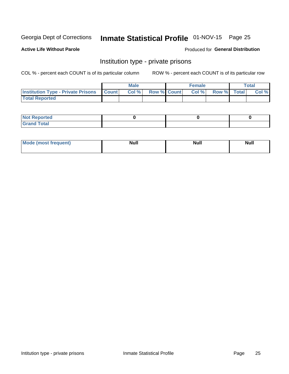## Inmate Statistical Profile 01-NOV-15 Page 25

#### **Active Life Without Parole**

#### Produced for General Distribution

### Institution type - private prisons

COL % - percent each COUNT is of its particular column

|                                                     | <b>Male</b> |                    | <b>Female</b> |             | Total |
|-----------------------------------------------------|-------------|--------------------|---------------|-------------|-------|
| <b>Institution Type - Private Prisons   Count  </b> | Col %       | <b>Row % Count</b> | Col %         | Row % Total | Col % |
| <b>Total Reported</b>                               |             |                    |               |             |       |

| Not Reported          |  |  |
|-----------------------|--|--|
| <b>Cotal</b><br>_____ |  |  |

| <b>Mo</b><br>frequent) | <b>Null</b> | <b>Null</b> | . . I *<br><b>IVUII</b> |
|------------------------|-------------|-------------|-------------------------|
|                        |             |             |                         |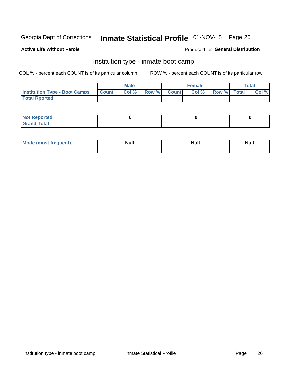## Inmate Statistical Profile 01-NOV-15 Page 26

#### **Active Life Without Parole**

#### Produced for General Distribution

### Institution type - inmate boot camp

COL % - percent each COUNT is of its particular column

|                                      |              | <b>Male</b> |             | <b>Female</b> |             | <b>Total</b> |
|--------------------------------------|--------------|-------------|-------------|---------------|-------------|--------------|
| <b>Institution Type - Boot Camps</b> | <b>Count</b> | Col %       | Row % Count | Col %         | Row % Total | Col %        |
| <b>Total Rported</b>                 |              |             |             |               |             |              |

| <b>Not Reported</b>            |  |  |
|--------------------------------|--|--|
| <b>Total</b><br>C <sub>r</sub> |  |  |

| Mode (most f<br>*requent) | Nul.<br>------ | <b>Null</b> | <b>Null</b> |
|---------------------------|----------------|-------------|-------------|
|                           |                |             |             |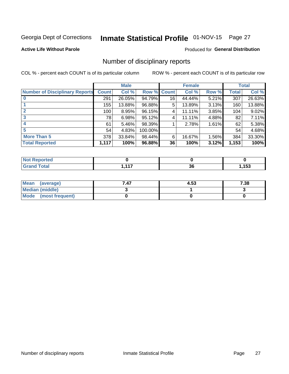## Inmate Statistical Profile 01-NOV-15 Page 27

#### **Active Life Without Parole**

#### Produced for General Distribution

### Number of disciplinary reports

COL % - percent each COUNT is of its particular column

|                                       |              | <b>Male</b> |             |    | <b>Female</b> |       |              | <b>Total</b> |
|---------------------------------------|--------------|-------------|-------------|----|---------------|-------|--------------|--------------|
| <b>Number of Disciplinary Reports</b> | <b>Count</b> | Col %       | Row % Count |    | Col %         | Row % | <b>Total</b> | Col %        |
|                                       | 291          | 26.05%      | 94.79%      | 16 | 44.44%        | 5.21% | 307          | 26.63%       |
|                                       | 155          | 13.88%      | 96.88%      | 5  | 13.89%        | 3.13% | 160          | 13.88%       |
| $\mathbf{2}$                          | 100          | 8.95%       | 96.15%      | 4  | 11.11%        | 3.85% | 104          | 9.02%        |
| 3                                     | 78           | 6.98%       | 95.12%      | 4  | 11.11%        | 4.88% | 82           | 7.11%        |
|                                       | 61           | 5.46%       | 98.39%      |    | 2.78%         | 1.61% | 62           | 5.38%        |
| 5                                     | 54           | 4.83%       | 100.00%     |    |               |       | 54           | 4.68%        |
| <b>More Than 5</b>                    | 378          | 33.84%      | 98.44%      | 6  | 16.67%        | 1.56% | 384          | 33.30%       |
| <b>Total Reported</b>                 | 1,117        | 100%        | 96.88%      | 36 | 100%          | 3.12% | 1,153        | 100%         |

| <b>prted</b><br>NOT |     |          |               |
|---------------------|-----|----------|---------------|
| <b>Total</b>        | 447 | ^^<br>აძ | I E O<br>. JJ |

| Mean (average)       | 7.47 | 4.53 | 7.38 |
|----------------------|------|------|------|
| Median (middle)      |      |      |      |
| Mode (most frequent) |      |      |      |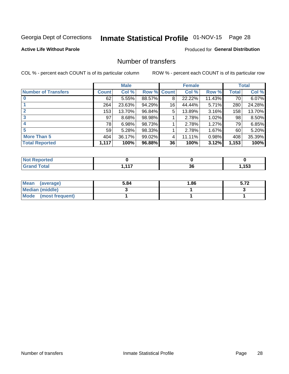## Inmate Statistical Profile 01-NOV-15 Page 28

#### **Active Life Without Parole**

#### Produced for General Distribution

### Number of transfers

COL % - percent each COUNT is of its particular column

|                            |              | <b>Male</b> |        |              | <b>Female</b> |          |              | <b>Total</b> |
|----------------------------|--------------|-------------|--------|--------------|---------------|----------|--------------|--------------|
| <b>Number of Transfers</b> | <b>Count</b> | Col %       | Row %  | <b>Count</b> | Col %         | Row %    | <b>Total</b> | Col %        |
|                            | 62           | 5.55%       | 88.57% | 8            | 22.22%        | 11.43%   | 70           | 6.07%        |
|                            | 264          | 23.63%      | 94.29% | 16           | 44.44%        | 5.71%    | 280          | 24.28%       |
| 2                          | 153          | 13.70%      | 96.84% | 5            | 13.89%        | 3.16%    | 158          | 13.70%       |
| 3                          | 97           | 8.68%       | 98.98% |              | 2.78%         | 1.02%    | 98           | 8.50%        |
|                            | 78           | 6.98%       | 98.73% |              | 2.78%         | 1.27%    | 79           | 6.85%        |
| 5                          | 59           | 5.28%       | 98.33% |              | 2.78%         | $1.67\%$ | 60           | 5.20%        |
| <b>More Than 5</b>         | 404          | 36.17%      | 99.02% | 4            | 11.11%        | 0.98%    | 408          | 35.39%       |
| <b>Total Reported</b>      | 1,117        | 100%        | 96.88% | 36           | 100%          | 3.12%    | 1,153        | 100%         |

| NO<br>тео |     |    |       |
|-----------|-----|----|-------|
| Total     | 447 | ^^ | 4 E O |
|           |     | ად | 1 J J |

| Mean (average)       | 5.84 | 1.86 | - 70<br>ວ. <i>ເ z</i> |
|----------------------|------|------|-----------------------|
| Median (middle)      |      |      |                       |
| Mode (most frequent) |      |      |                       |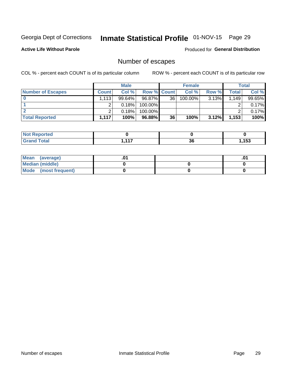## Inmate Statistical Profile 01-NOV-15 Page 29

**Active Life Without Parole** 

Produced for General Distribution

## Number of escapes

COL % - percent each COUNT is of its particular column

|                          |                   | <b>Male</b> |                    |    | <b>Female</b> |          |       | Total  |
|--------------------------|-------------------|-------------|--------------------|----|---------------|----------|-------|--------|
| <b>Number of Escapes</b> | <b>Count</b>      | Col%        | <b>Row % Count</b> |    | Col %         | Row %    | Total | Col %  |
|                          | .113 <sup>1</sup> | $99.64\%$   | 96.87%             | 36 | $100.00\%$    | $3.13\%$ | 1.149 | 99.65% |
|                          |                   | 0.18%       | 100.00%            |    |               |          |       | 0.17%  |
|                          |                   | 0.18%       | 100.00%            |    |               |          |       | 0.17%  |
| <b>Total Reported</b>    | 1.117             | 100%        | 96.88%             | 36 | 100%          | 3.12%    | 1,153 | 100%   |

| <b>orted</b><br><b>NOT</b><br>$\ldots$ eper |          |    |      |
|---------------------------------------------|----------|----|------|
| <b>Total</b><br><b>Grand</b>                | 447<br>. | 36 | ,153 |

| Mean (average)       |  | י ש |
|----------------------|--|-----|
| Median (middle)      |  |     |
| Mode (most frequent) |  |     |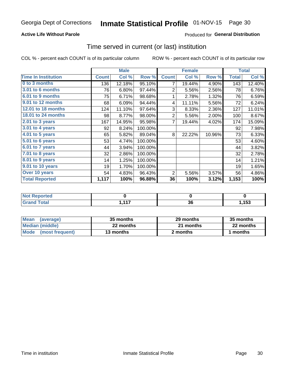#### **Active Life Without Parole**

#### Produced for General Distribution

### Time served in current (or last) institution

COL % - percent each COUNT is of its particular column

|                            |              | <b>Male</b> |         |                | <b>Female</b> |        |              | <b>Total</b> |
|----------------------------|--------------|-------------|---------|----------------|---------------|--------|--------------|--------------|
| <b>Time In Institution</b> | <b>Count</b> | Col %       | Row %   | <b>Count</b>   | Col %         | Row %  | <b>Total</b> | Col %        |
| 0 to 3 months              | 136          | 12.18%      | 95.10%  | 7              | 19.44%        | 4.90%  | 143          | 12.40%       |
| <b>3.01 to 6 months</b>    | 76           | 6.80%       | 97.44%  | 2              | 5.56%         | 2.56%  | 78           | 6.76%        |
| 6.01 to 9 months           | 75           | 6.71%       | 98.68%  | 1              | 2.78%         | 1.32%  | 76           | 6.59%        |
| 9.01 to 12 months          | 68           | 6.09%       | 94.44%  | 4              | 11.11%        | 5.56%  | 72           | 6.24%        |
| 12.01 to 18 months         | 124          | 11.10%      | 97.64%  | 3              | 8.33%         | 2.36%  | 127          | 11.01%       |
| <b>18.01 to 24 months</b>  | 98           | 8.77%       | 98.00%  | $\overline{2}$ | 5.56%         | 2.00%  | 100          | 8.67%        |
| $2.01$ to 3 years          | 167          | 14.95%      | 95.98%  | 7              | 19.44%        | 4.02%  | 174          | 15.09%       |
| 3.01 to 4 years            | 92           | 8.24%       | 100.00% |                |               |        | 92           | 7.98%        |
| 4.01 to 5 years            | 65           | 5.82%       | 89.04%  | 8              | 22.22%        | 10.96% | 73           | 6.33%        |
| 5.01 to 6 years            | 53           | 4.74%       | 100.00% |                |               |        | 53           | 4.60%        |
| 6.01 to 7 years            | 44           | 3.94%       | 100.00% |                |               |        | 44           | 3.82%        |
| 7.01 to 8 years            | 32           | 2.86%       | 100.00% |                |               |        | 32           | 2.78%        |
| 8.01 to 9 years            | 14           | 1.25%       | 100.00% |                |               |        | 14           | 1.21%        |
| 9.01 to 10 years           | 19           | 1.70%       | 100.00% |                |               |        | 19           | 1.65%        |
| Over 10 years              | 54           | 4.83%       | 96.43%  | 2              | 5.56%         | 3.57%  | 56           | 4.86%        |
| <b>Total Reported</b>      | 1,117        | 100%        | 96.88%  | 36             | 100%          | 3.12%  | 1,153        | 100%         |

| <b>Not Reported</b> |       |    |      |
|---------------------|-------|----|------|
| <b>Total</b>        | . 447 | ^^ | 152  |
|                     | ,     | ას | ּטטו |

| <b>Mean</b><br>(average) | 35 months | 29 months | 35 months |
|--------------------------|-----------|-----------|-----------|
| Median (middle)          | 22 months | 21 months | 22 months |
| Mode (most frequent)     | 13 months | 2 months  | months    |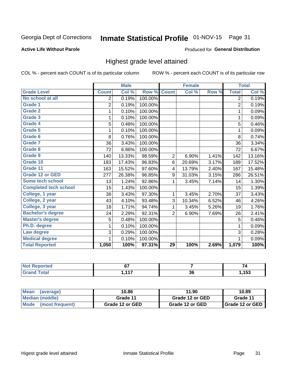## Inmate Statistical Profile 01-NOV-15 Page 31

#### **Active Life Without Parole**

#### Produced for General Distribution

### Highest grade level attained

COL % - percent each COUNT is of its particular column

|                              |                | <b>Male</b> |         |                 | <b>Female</b> |       |                | <b>Total</b> |
|------------------------------|----------------|-------------|---------|-----------------|---------------|-------|----------------|--------------|
| <b>Grade Level</b>           | <b>Count</b>   | Col %       | Row %   | <b>Count</b>    | Col %         | Row % | <b>Total</b>   | Col %        |
| No school at all             | $\overline{2}$ | 0.19%       | 100.00% |                 |               |       | $\overline{2}$ | 0.19%        |
| Grade 1                      | $\overline{2}$ | 0.19%       | 100.00% |                 |               |       | $\overline{2}$ | 0.19%        |
| <b>Grade 2</b>               | 1              | 0.10%       | 100.00% |                 |               |       | 1              | 0.09%        |
| Grade 3                      | 1              | 0.10%       | 100.00% |                 |               |       | 1              | 0.09%        |
| Grade 4                      | 5              | 0.48%       | 100.00% |                 |               |       | 5              | 0.46%        |
| Grade 5                      | 1              | 0.10%       | 100.00% |                 |               |       | 1              | 0.09%        |
| Grade 6                      | 8              | 0.76%       | 100.00% |                 |               |       | 8              | 0.74%        |
| <b>Grade 7</b>               | 36             | 3.43%       | 100.00% |                 |               |       | 36             | 3.34%        |
| Grade 8                      | 72             | 6.86%       | 100.00% |                 |               |       | 72             | 6.67%        |
| Grade 9                      | 140            | 13.33%      | 98.59%  | $\overline{2}$  | 6.90%         | 1.41% | 142            | 13.16%       |
| Grade 10                     | 183            | 17.43%      | 96.83%  | 6               | 20.69%        | 3.17% | 189            | 17.52%       |
| Grade 11                     | 163            | 15.52%      | 97.60%  | 4               | 13.79%        | 2.40% | 167            | 15.48%       |
| <b>Grade 12 or GED</b>       | 277            | 26.38%      | 96.85%  | 9               | 31.03%        | 3.15% | 286            | 26.51%       |
| Some tech school             | 13             | 1.24%       | 92.86%  | 1               | 3.45%         | 7.14% | 14             | 1.30%        |
| <b>Completed tech school</b> | 15             | 1.43%       | 100.00% |                 |               |       | 15             | 1.39%        |
| College, 1 year              | 36             | 3.43%       | 97.30%  | 1               | 3.45%         | 2.70% | 37             | 3.43%        |
| College, 2 year              | 43             | 4.10%       | 93.48%  | 3               | 10.34%        | 6.52% | 46             | 4.26%        |
| College, 3 year              | 18             | 1.71%       | 94.74%  | $\mathbf{1}$    | 3.45%         | 5.26% | 19             | 1.76%        |
| <b>Bachelor's degree</b>     | 24             | 2.29%       | 92.31%  | $\overline{2}$  | 6.90%         | 7.69% | 26             | 2.41%        |
| <b>Master's degree</b>       | 5              | 0.48%       | 100.00% |                 |               |       | 5              | 0.46%        |
| Ph.D. degree                 | 1              | 0.10%       | 100.00% |                 |               |       | 1              | 0.09%        |
| Law degree                   | 3              | 0.29%       | 100.00% |                 |               |       | 3              | 0.28%        |
| <b>Medical degree</b>        |                | 0.10%       | 100.00% |                 |               |       | 1              | 0.09%        |
| <b>Total Reported</b>        | 1,050          | 100%        | 97.31%  | $\overline{29}$ | 100%          | 2.69% | 1,079          | 100%         |

| $\bullet$ at $\bullet$ and $\bullet$ | ~-<br>υı     |          |      |
|--------------------------------------|--------------|----------|------|
| <b>otal</b>                          | 447<br>- - - | ^'<br>აძ | ,153 |

| <b>Mean</b><br>(average)       | 10.86           | 11.90           | 10.89             |
|--------------------------------|-----------------|-----------------|-------------------|
| Median (middle)                | Grade 11        | Grade 12 or GED | Grade 11          |
| <b>Mode</b><br>(most frequent) | Grade 12 or GED | Grade 12 or GED | I Grade 12 or GED |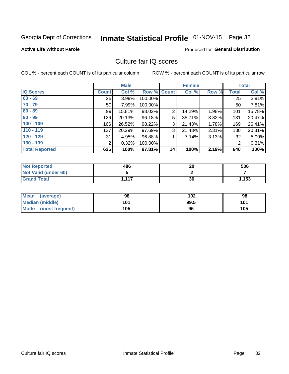## Inmate Statistical Profile 01-NOV-15 Page 32

#### **Active Life Without Parole**

#### Produced for General Distribution

### Culture fair IQ scores

COL % - percent each COUNT is of its particular column

|                       |                 | <b>Male</b> |             |                | <b>Female</b> |       |              | <b>Total</b> |
|-----------------------|-----------------|-------------|-------------|----------------|---------------|-------|--------------|--------------|
| <b>IQ Scores</b>      | <b>Count</b>    | Col %       | Row % Count |                | Col %         | Row % | <b>Total</b> | Col %        |
| $60 - 69$             | 25              | 3.99%       | 100.00%     |                |               |       | 25           | 3.91%        |
| $70 - 79$             | 50 <sub>1</sub> | 7.99%       | 100.00%     |                |               |       | 50           | 7.81%        |
| $80 - 89$             | 99              | 15.81%      | 98.02%      | $\overline{2}$ | 14.29%        | 1.98% | 101          | 15.78%       |
| $90 - 99$             | 126             | 20.13%      | 96.18%      | 5              | 35.71%        | 3.82% | 131          | 20.47%       |
| $100 - 109$           | 166             | 26.52%      | 98.22%      | 3              | 21.43%        | 1.78% | 169          | 26.41%       |
| $110 - 119$           | 127             | 20.29%      | 97.69%      | 3              | 21.43%        | 2.31% | 130          | 20.31%       |
| $120 - 129$           | 31              | 4.95%       | 96.88%      | 1              | 7.14%         | 3.13% | 32           | 5.00%        |
| $130 - 139$           | 2               | 0.32%       | 100.00%     |                |               |       | 2            | 0.31%        |
| <b>Total Reported</b> | 626             | 100%        | 97.81%      | 14             | 100%          | 2.19% | 640          | 100%         |

| <b>Not Reported</b>  | 486   | 20 | 506   |
|----------------------|-------|----|-------|
| Not Valid (under 60) |       |    |       |
| <b>Grand Total</b>   | 1,117 | 36 | 1,153 |

| <b>Mean</b><br>(average) | 98  | 102  | 98  |
|--------------------------|-----|------|-----|
| Median (middle)          | 101 | 99.5 | 101 |
| Mode (most frequent)     | 105 | 96   | 105 |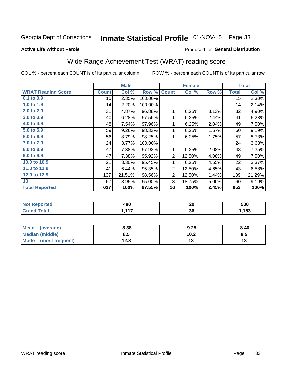## Inmate Statistical Profile 01-NOV-15 Page 33

#### **Active Life Without Parole**

#### Produced for General Distribution

## Wide Range Achievement Test (WRAT) reading score

COL % - percent each COUNT is of its particular column

|                           |              | <b>Male</b> |         |                | <b>Female</b> |       |              | <b>Total</b> |
|---------------------------|--------------|-------------|---------|----------------|---------------|-------|--------------|--------------|
| <b>WRAT Reading Score</b> | <b>Count</b> | Col %       | Row %   | <b>Count</b>   | Col %         | Row % | <b>Total</b> | Col %        |
| 0.1 to 0.9                | 15           | 2.35%       | 100.00% |                |               |       | 15           | 2.30%        |
| 1.0 to 1.9                | 14           | 2.20%       | 100.00% |                |               |       | 14           | 2.14%        |
| 2.0 to 2.9                | 31           | 4.87%       | 96.88%  | 1              | 6.25%         | 3.13% | 32           | 4.90%        |
| 3.0 to 3.9                | 40           | 6.28%       | 97.56%  | 1              | 6.25%         | 2.44% | 41           | 6.28%        |
| 4.0 to 4.9                | 48           | 7.54%       | 97.96%  | 1              | 6.25%         | 2.04% | 49           | 7.50%        |
| 5.0 to 5.9                | 59           | 9.26%       | 98.33%  | 1              | 6.25%         | 1.67% | 60           | 9.19%        |
| 6.0 to 6.9                | 56           | 8.79%       | 98.25%  | 1              | 6.25%         | 1.75% | 57           | 8.73%        |
| 7.0 to 7.9                | 24           | 3.77%       | 100.00% |                |               |       | 24           | 3.68%        |
| 8.0 to 8.9                | 47           | 7.38%       | 97.92%  | 1              | 6.25%         | 2.08% | 48           | 7.35%        |
| 9.0 to 9.9                | 47           | 7.38%       | 95.92%  | $\overline{2}$ | 12.50%        | 4.08% | 49           | 7.50%        |
| 10.0 to 10.9              | 21           | 3.30%       | 95.45%  |                | 6.25%         | 4.55% | 22           | 3.37%        |
| 11.0 to 11.9              | 41           | 6.44%       | 95.35%  | $\overline{2}$ | 12.50%        | 4.65% | 43           | 6.58%        |
| 12.0 to 12.9              | 137          | 21.51%      | 98.56%  | $\overline{2}$ | 12.50%        | 1.44% | 139          | 21.29%       |
| 13                        | 57           | 8.95%       | 95.00%  | 3              | 18.75%        | 5.00% | 60           | 9.19%        |
| <b>Total Reported</b>     | 637          | 100%        | 97.55%  | 16             | 100%          | 2.45% | 653          | 100%         |

| rted<br>NOT.<br>$\sim$ | 480                                            | nr.<br>ZU | 500  |
|------------------------|------------------------------------------------|-----------|------|
| $f \circ f \circ f$    | $\rightarrow$ $\rightarrow$<br><b>A</b> 4<br>. | 36        | ,153 |

| <b>Mean</b><br>(average)       | 8.38 | 9.25 | 8.40 |
|--------------------------------|------|------|------|
| Median (middle)                | გ.ა  | 10.2 | ช.ว  |
| <b>Mode</b><br>(most frequent) | 12.8 |      | יי   |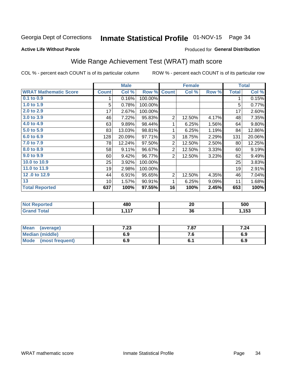## Inmate Statistical Profile 01-NOV-15 Page 34

#### **Active Life Without Parole**

#### Produced for General Distribution

## Wide Range Achievement Test (WRAT) math score

COL % - percent each COUNT is of its particular column

|                              |                 | <b>Male</b> |         |                | <b>Female</b> |       |              | <b>Total</b> |
|------------------------------|-----------------|-------------|---------|----------------|---------------|-------|--------------|--------------|
| <b>WRAT Mathematic Score</b> | <b>Count</b>    | Col %       | Row %   | <b>Count</b>   | Col %         | Row % | <b>Total</b> | Col %        |
| $0.1$ to $0.9$               |                 | 0.16%       | 100.00% |                |               |       | 1            | 0.15%        |
| 1.0 to 1.9                   | 5               | 0.78%       | 100.00% |                |               |       | 5            | 0.77%        |
| 2.0 to 2.9                   | 17              | 2.67%       | 100.00% |                |               |       | 17           | 2.60%        |
| 3.0 to 3.9                   | 46              | 7.22%       | 95.83%  | $\overline{2}$ | 12.50%        | 4.17% | 48           | 7.35%        |
| 4.0 to 4.9                   | 63              | 9.89%       | 98.44%  | 1              | 6.25%         | 1.56% | 64           | 9.80%        |
| 5.0 to 5.9                   | 83              | 13.03%      | 98.81%  | 1              | 6.25%         | 1.19% | 84           | 12.86%       |
| 6.0 to 6.9                   | 128             | 20.09%      | 97.71%  | 3              | 18.75%        | 2.29% | 131          | 20.06%       |
| 7.0 to 7.9                   | 78              | 12.24%      | 97.50%  | $\overline{2}$ | 12.50%        | 2.50% | 80           | 12.25%       |
| 8.0 to 8.9                   | 58              | 9.11%       | 96.67%  | $\overline{2}$ | 12.50%        | 3.33% | 60           | 9.19%        |
| 9.0 to 9.9                   | 60              | 9.42%       | 96.77%  | $\overline{2}$ | 12.50%        | 3.23% | 62           | 9.49%        |
| 10.0 to 10.9                 | 25              | 3.92%       | 100.00% |                |               |       | 25           | 3.83%        |
| 11.0 to 11.9                 | 19              | 2.98%       | 100.00% |                |               |       | 19           | 2.91%        |
| 12.0 to 12.9                 | 44              | 6.91%       | 95.65%  | $\overline{2}$ | 12.50%        | 4.35% | 46           | 7.04%        |
| 13                           | 10 <sup>1</sup> | 1.57%       | 90.91%  | 1              | 6.25%         | 9.09% | 11           | 1.68%        |
| <b>Total Reported</b>        | 637             | 100%        | 97.55%  | 16             | 100%          | 2.45% | 653          | 100%         |

| <b>Not Reported</b>           | 480      | 00<br>ZU | 500  |
|-------------------------------|----------|----------|------|
| <b>Total</b><br><b>'Grand</b> | 447<br>. | 36       | ,153 |

| <b>Mean</b><br>(average)       | 7.23 | 707<br>וס. י | 7.24 |
|--------------------------------|------|--------------|------|
| <b>Median (middle)</b>         | 6.9  | . ت          | 6.9  |
| <b>Mode</b><br>(most frequent) | 6.9  |              | 6.9  |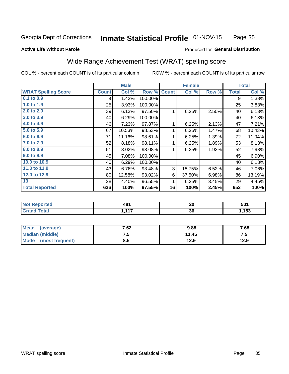#### Inmate Statistical Profile 01-NOV-15 Page 35

#### **Active Life Without Parole**

#### Produced for General Distribution

### Wide Range Achievement Test (WRAT) spelling score

COL % - percent each COUNT is of its particular column

|                            |              | <b>Male</b> |         |              | <b>Female</b> |       |              | <b>Total</b> |
|----------------------------|--------------|-------------|---------|--------------|---------------|-------|--------------|--------------|
| <b>WRAT Spelling Score</b> | <b>Count</b> | Col %       | Row %   | <b>Count</b> | Col %         | Row % | <b>Total</b> | Col %        |
| 0.1 to 0.9                 | 9            | 1.42%       | 100.00% |              |               |       | 9            | 1.38%        |
| 1.0 to 1.9                 | 25           | 3.93%       | 100.00% |              |               |       | 25           | 3.83%        |
| 2.0 to 2.9                 | 39           | 6.13%       | 97.50%  | 1            | 6.25%         | 2.50% | 40           | 6.13%        |
| 3.0 to 3.9                 | 40           | 6.29%       | 100.00% |              |               |       | 40           | 6.13%        |
| 4.0 to 4.9                 | 46           | 7.23%       | 97.87%  | 1            | 6.25%         | 2.13% | 47           | 7.21%        |
| 5.0 t <sub>0</sub> 5.9     | 67           | 10.53%      | 98.53%  | 1            | 6.25%         | 1.47% | 68           | 10.43%       |
| 6.0 to 6.9                 | 71           | 11.16%      | 98.61%  | 1            | 6.25%         | 1.39% | 72           | 11.04%       |
| 7.0 to 7.9                 | 52           | 8.18%       | 98.11%  | 1            | 6.25%         | 1.89% | 53           | 8.13%        |
| 8.0 to 8.9                 | 51           | 8.02%       | 98.08%  | 1            | 6.25%         | 1.92% | 52           | 7.98%        |
| 9.0 to 9.9                 | 45           | 7.08%       | 100.00% |              |               |       | 45           | 6.90%        |
| 10.0 to 10.9               | 40           | 6.29%       | 100.00% |              |               |       | 40           | 6.13%        |
| 11.0 to 11.9               | 43           | 6.76%       | 93.48%  | 3            | 18.75%        | 6.52% | 46           | 7.06%        |
| 12.0 to 12.9               | 80           | 12.58%      | 93.02%  | 6            | 37.50%        | 6.98% | 86           | 13.19%       |
| 13                         | 28           | 4.40%       | 96.55%  | 1            | 6.25%         | 3.45% | 29           | 4.45%        |
| <b>Total Reported</b>      | 636          | 100%        | 97.55%  | 16           | 100%          | 2.45% | 652          | 100%         |
|                            |              |             |         |              |               |       |              |              |
| <b>Not Reported</b>        |              | 481         |         |              | 20            |       |              | 501          |
| <b>Grand Total</b>         |              | 1,117       |         |              | 36            |       |              | 1,153        |

| <b>Mean</b><br>(average)       | 7.62 | 9.88  | 7.68 |
|--------------------------------|------|-------|------|
| Median (middle)                | ن -  | 11.45 | ں ،  |
| <b>Mode</b><br>(most frequent) | 8.5  | 12.9  | 12.9 |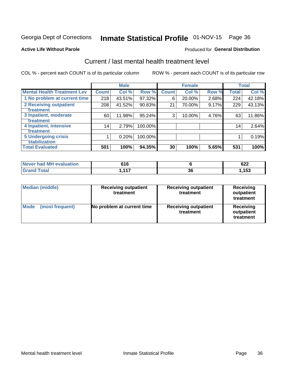## Inmate Statistical Profile 01-NOV-15 Page 36

#### **Active Life Without Parole**

#### **Produced for General Distribution**

## Current / last mental health treatment level

COL % - percent each COUNT is of its particular column

|                                    |              | <b>Male</b> |           |              | <b>Female</b> |       |              | <b>Total</b> |
|------------------------------------|--------------|-------------|-----------|--------------|---------------|-------|--------------|--------------|
| <b>Mental Health Treatment Lev</b> | <b>Count</b> | Col %       | Row %     | <b>Count</b> | Col %         | Row % | <b>Total</b> | Col %        |
| 1 No problem at current time       | 218          | 43.51%      | 97.32%    | 6            | 20.00%        | 2.68% | 224          | 42.18%       |
| 2 Receiving outpatient             | 208          | 41.52%      | 90.83%    | 21           | 70.00%        | 9.17% | 229          | 43.13%       |
| <b>Treatment</b>                   |              |             |           |              |               |       |              |              |
| 3 Inpatient, moderate              | 60           | 11.98%      | $95.24\%$ | 3            | 10.00%        | 4.76% | 63           | 11.86%       |
| Treatment                          |              |             |           |              |               |       |              |              |
| 4 Inpatient, intensive             | 14           | 2.79%       | 100.00%   |              |               |       | 14           | 2.64%        |
| Treatment                          |              |             |           |              |               |       |              |              |
| <b>5 Undergoing crisis</b>         |              | 0.20%       | 100.00%   |              |               |       |              | 0.19%        |
| <b>stabilization</b>               |              |             |           |              |               |       |              |              |
| <b>Total Evaluated</b>             | 501          | 100%        | 94.35%    | 30           | 100%          | 5.65% | 531          | 100%         |

| <b>evaluation</b><br><b>Never had MF</b> | 61 G<br>טונ                  |          | ◡∠∠                 |
|------------------------------------------|------------------------------|----------|---------------------|
| $f$ otol                                 | $\overline{447}$<br>. .<br>. | ^^<br>კხ | <b>452</b><br>1 J J |

| <b>Median (middle)</b>  | <b>Receiving outpatient</b><br>treatment | <b>Receiving outpatient</b><br>treatment | <b>Receiving</b><br>outpatient<br>treatment |
|-------------------------|------------------------------------------|------------------------------------------|---------------------------------------------|
| Mode<br>(most frequent) | No problem at current time               | <b>Receiving outpatient</b><br>treatment | <b>Receiving</b><br>outpatient<br>treatment |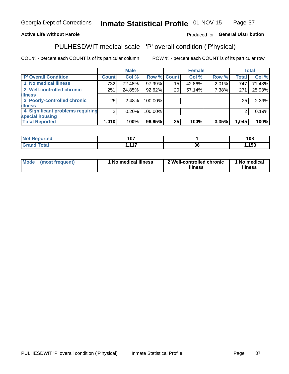#### **Inmate Statistical Profile 01-NOV-15** Page 37

#### **Active Life Without Parole**

#### Produced for General Distribution

## PULHESDWIT medical scale - 'P' overall condition ('P'hysical)

COL % - percent each COUNT is of its particular column

|                                  |                | <b>Male</b> |             |                 | <b>Female</b> |       |              | <b>Total</b> |
|----------------------------------|----------------|-------------|-------------|-----------------|---------------|-------|--------------|--------------|
| 'P' Overall Condition            | <b>Count</b>   | Col %       | Row % Count |                 | Col %         | Row % | <b>Total</b> | Col %        |
| 1 No medical illness             | 732            | 72.48%      | 97.99%      | 15              | 42.86%        | 2.01% | 747          | 71.48%       |
| 2 Well-controlled chronic        | 251            | 24.85%      | 92.62%      | 20 <sub>1</sub> | 57.14%        | 7.38% | 271          | 25.93%       |
| <b>illness</b>                   |                |             |             |                 |               |       |              |              |
| 3 Poorly-controlled chronic      | 25             | 2.48%       | 100.00%     |                 |               |       | 25           | 2.39%        |
| <b>illness</b>                   |                |             |             |                 |               |       |              |              |
| 4 Significant problems requiring | 2 <sub>1</sub> | 0.20%       | 100.00%     |                 |               |       | 2            | 0.19%        |
| special housing                  |                |             |             |                 |               |       |              |              |
| <b>Total Reported</b>            | 1,010          | 100%        | 96.65%      | 35              | 100%          | 3.35% | 1,045        | 100%         |

| $\sim$<br>. |        | 108            |
|-------------|--------|----------------|
| 447         | $\sim$ | $\overline{ }$ |
| - - -       | JС     | - טע           |

| <b>Mode</b> | (most frequent) | 1 No medical illness | 2 Well-controlled chronic<br>illness | 1 No medical<br>illness |
|-------------|-----------------|----------------------|--------------------------------------|-------------------------|
|-------------|-----------------|----------------------|--------------------------------------|-------------------------|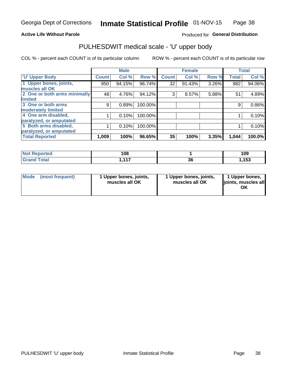#### **Active Life Without Parole**

#### Produced for General Distribution

## PULHESDWIT medical scale - 'U' upper body

COL % - percent each COUNT is of its particular column

|                              |               | <b>Male</b> |         |              | <b>Female</b> |       |              | <b>Total</b> |
|------------------------------|---------------|-------------|---------|--------------|---------------|-------|--------------|--------------|
| <b>U' Upper Body</b>         | <b>Count!</b> | Col %       | Row %   | <b>Count</b> | Col %         | Row % | <b>Total</b> | Col %        |
| 1 Upper bones, joints,       | 950           | 94.15%      | 96.74%  | 32           | 91.43%        | 3.26% | 982          | 94.06%       |
| muscles all OK               |               |             |         |              |               |       |              |              |
| 2 One or both arms minimally | 48            | 4.76%       | 94.12%  | 3            | 8.57%         | 5.88% | 51           | 4.89%        |
| limited                      |               |             |         |              |               |       |              |              |
| 3 One or both arms           | 9             | 0.89%       | 100.00% |              |               |       | 9            | 0.86%        |
| <b>moderately limited</b>    |               |             |         |              |               |       |              |              |
| 4 One arm disabled,          |               | 0.10%       | 100.00% |              |               |       |              | 0.10%        |
| paralyzed, or amputated      |               |             |         |              |               |       |              |              |
| 5 Both arms disabled,        |               | 0.10%       | 100.00% |              |               |       |              | 0.10%        |
| paralyzed, or amputated      |               |             |         |              |               |       |              |              |
| <b>Total Reported</b>        | 1,009         | 100%        | 96.65%  | 35           | 100%          | 3.35% | 1,044        | 100.0%       |

| <b>Not Reported</b> | 108               |    | 109        |
|---------------------|-------------------|----|------------|
| <b>Grand Total</b>  | 1 <b>4 7</b><br>. | ახ | <b>153</b> |

| Mode<br>(most frequent) | 1 Upper bones, joints,<br>muscles all OK | 1 Upper bones, joints,<br>muscles all OK | 1 Upper bones,<br>joints, muscles all<br>ΟK |
|-------------------------|------------------------------------------|------------------------------------------|---------------------------------------------|
|-------------------------|------------------------------------------|------------------------------------------|---------------------------------------------|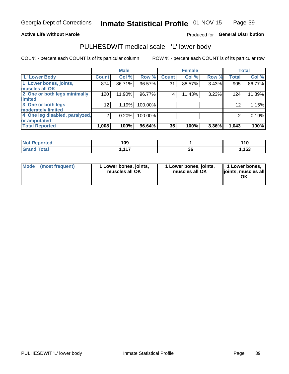#### **Active Life Without Parole**

#### Produced for General Distribution

### PULHESDWIT medical scale - 'L' lower body

COL % - percent each COUNT is of its particular column

|                                |                 | <b>Male</b> |         |              | <b>Female</b> |       |              | <b>Total</b> |
|--------------------------------|-----------------|-------------|---------|--------------|---------------|-------|--------------|--------------|
| 'L' Lower Body                 | <b>Count</b>    | Col %       | Row %   | <b>Count</b> | Col %         | Row % | <b>Total</b> | Col %        |
| 1 Lower bones, joints,         | 874             | 86.71%      | 96.57%  | 31           | 88.57%        | 3.43% | 905          | 86.77%       |
| muscles all OK                 |                 |             |         |              |               |       |              |              |
| 2 One or both legs minimally   | 120             | 11.90%      | 96.77%  | 4            | 11.43%        | 3.23% | 124          | 11.89%       |
| limited                        |                 |             |         |              |               |       |              |              |
| 3 One or both legs             | 12 <sub>2</sub> | 1.19%       | 100.00% |              |               |       | 12           | 1.15%        |
| moderately limited             |                 |             |         |              |               |       |              |              |
| 4 One leg disabled, paralyzed, | $\overline{2}$  | 0.20%       | 100.00% |              |               |       | 2            | 0.19%        |
| or amputated                   |                 |             |         |              |               |       |              |              |
| <b>Total Reported</b>          | 1,008           | 100%        | 96.64%  | 35           | 100%          | 3.36% | 1,043        | 100%         |

| <b>Not Reported</b> | 109        |          | 11C  |
|---------------------|------------|----------|------|
| <b>Grand Total</b>  | 4 4 7<br>. | ~~<br>ად | ,153 |

| Mode | (most frequent) | 1 Lower bones, joints,<br>muscles all OK | 1 Lower bones, joints,<br>muscles all OK | 1 Lower bones,<br>ljoints, muscles all<br>ОK |
|------|-----------------|------------------------------------------|------------------------------------------|----------------------------------------------|
|------|-----------------|------------------------------------------|------------------------------------------|----------------------------------------------|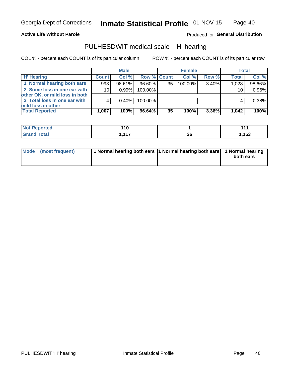#### **Active Life Without Parole**

Produced for General Distribution

### PULHESDWIT medical scale - 'H' hearing

COL % - percent each COUNT is of its particular column

|                                                               |              | <b>Male</b> |             |    | <b>Female</b> |          | <b>Total</b> |        |
|---------------------------------------------------------------|--------------|-------------|-------------|----|---------------|----------|--------------|--------|
| <b>H'</b> Hearing                                             | <b>Count</b> | Col %       | Row % Count |    | Col%          | Row %    | <b>Total</b> | Col %  |
| 1 Normal hearing both ears                                    | 993          | 98.61%      | 96.60%      | 35 | $100.00\%$    | 3.40%    | 1,028        | 98.66% |
| 2 Some loss in one ear with<br>other OK, or mild loss in both | 10           | $0.99\%$    | 100.00%     |    |               |          | 10           | 0.96%  |
| 3 Total loss in one ear with<br>mild loss in other            | 4            | 0.40%       | 100.00%     |    |               |          | 4            | 0.38%  |
| <b>Total Reported</b>                                         | 1,007        | 100%        | 96.64%      | 35 | 100%          | $3.36\%$ | 1,042        | 100%   |

| <b>Not</b>      | $\overline{\mathbf{10}}$ |    | 447   |
|-----------------|--------------------------|----|-------|
| <b>Reported</b> | __                       |    |       |
| <b>Total</b>    | 447<br>.                 | 36 | 1,153 |

| Mode (most frequent) | 1 Normal hearing both ears 1 Normal hearing both ears 1 Normal hearing | both ears |
|----------------------|------------------------------------------------------------------------|-----------|
|                      |                                                                        |           |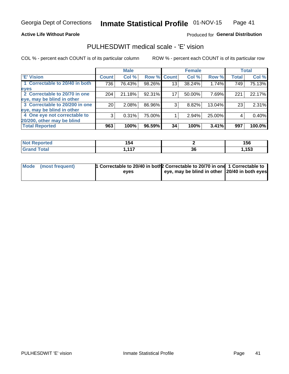#### **Active Life Without Parole**

#### Produced for General Distribution

### PULHESDWIT medical scale - 'E' vision

COL % - percent each COUNT is of its particular column

|                                |                 | <b>Male</b> |        |                 | <b>Female</b> |        |              | <b>Total</b> |
|--------------------------------|-----------------|-------------|--------|-----------------|---------------|--------|--------------|--------------|
| <b>E' Vision</b>               | <b>Count</b>    | Col %       | Row %  | <b>Count</b>    | Col %         | Row %  | <b>Total</b> | Col %        |
| 1 Correctable to 20/40 in both | 736             | 76.43%      | 98.26% | 13 <sub>1</sub> | 38.24%        | 1.74%  | 749          | 75.13%       |
| eyes                           |                 |             |        |                 |               |        |              |              |
| 2 Correctable to 20/70 in one  | 204             | 21.18%      | 92.31% | 17 <sub>1</sub> | 50.00%        | 7.69%  | 221          | 22.17%       |
| eye, may be blind in other     |                 |             |        |                 |               |        |              |              |
| 3 Correctable to 20/200 in one | 20 <sub>1</sub> | 2.08%       | 86.96% | 3               | 8.82%         | 13.04% | 23           | 2.31%        |
| eye, may be blind in other     |                 |             |        |                 |               |        |              |              |
| 4 One eye not correctable to   | 3               | 0.31%       | 75.00% |                 | 2.94%         | 25.00% | 4            | 0.40%        |
| 20/200, other may be blind     |                 |             |        |                 |               |        |              |              |
| <b>Total Reported</b>          | 963             | 100%        | 96.59% | 34              | 100%          | 3.41%  | 997          | 100.0%       |

| <b>Not Reported</b> | .<br>134 |     | 156   |
|---------------------|----------|-----|-------|
| Total               | 447      | ^^  | 4 E 9 |
|                     | .        | .st | ,153  |

| Mode (most frequent) | 1 Correctable to 20/40 in both 2 Correctable to 20/70 in one 1 Correctable to<br>eves | eye, may be blind in other 20/40 in both eyes |  |
|----------------------|---------------------------------------------------------------------------------------|-----------------------------------------------|--|
|                      |                                                                                       |                                               |  |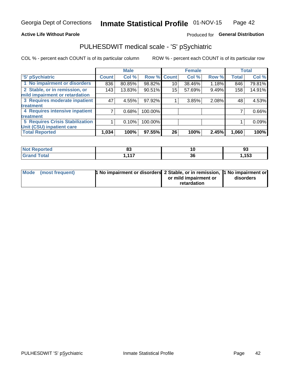#### **Active Life Without Parole**

#### Produced for General Distribution

## PULHESDWIT medical scale - 'S' pSychiatric

COL % - percent each COUNT is of its particular column

|                                        |              | <b>Male</b> |         |             | <b>Female</b> |       |              | <b>Total</b> |
|----------------------------------------|--------------|-------------|---------|-------------|---------------|-------|--------------|--------------|
| 'S' pSychiatric                        | <b>Count</b> | Col %       |         | Row % Count | Col %         | Row % | <b>Total</b> | Col %        |
| 1 No impairment or disorders           | 836          | 80.85%      | 98.82%  | 10          | 38.46%        | 1.18% | 846          | 79.81%       |
| 2 Stable, or in remission, or          | 143          | 13.83%      | 90.51%  | 15          | 57.69%        | 9.49% | 158          | 14.91%       |
| mild impairment or retardation         |              |             |         |             |               |       |              |              |
| 3 Requires moderate inpatient          | 47           | 4.55%       | 97.92%  |             | 3.85%         | 2.08% | 48           | 4.53%        |
| <b>treatment</b>                       |              |             |         |             |               |       |              |              |
| 4 Requires intensive inpatient         |              | 0.68%       | 100.00% |             |               |       |              | 0.66%        |
| treatment                              |              |             |         |             |               |       |              |              |
| <b>5 Requires Crisis Stabilization</b> |              | 0.10%       | 100.00% |             |               |       |              | 0.09%        |
| Unit (CSU) inpatient care              |              |             |         |             |               |       |              |              |
| <b>Total Reported</b>                  | 1,034        | 100%        | 97.55%  | 26          | 100%          | 2.45% | 1,060        | 100%         |

| <b>Not Reported</b>  | o.<br>၀၁ | K        | ^'<br>ື |
|----------------------|----------|----------|---------|
| <b>Total</b><br>CHOM | 447      | ^'<br>ახ | ,153    |

| Mode | (most frequent) | <b>1 No impairment or disorders</b> 2 Stable, or in remission, 1 No impairment or |                       |           |
|------|-----------------|-----------------------------------------------------------------------------------|-----------------------|-----------|
|      |                 |                                                                                   | or mild impairment or | disorders |
|      |                 |                                                                                   | retardation           |           |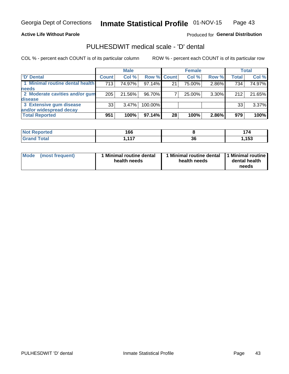**Active Life Without Parole** 

Produced for General Distribution

### PULHESDWIT medical scale - 'D' dental

COL % - percent each COUNT is of its particular column

|                                 |              | <b>Male</b> |             |    | <b>Female</b> |          |              | Total  |
|---------------------------------|--------------|-------------|-------------|----|---------------|----------|--------------|--------|
| 'D' Dental                      | <b>Count</b> | Col %       | Row % Count |    | Col %         | Row %    | <b>Total</b> | Col %  |
| 1 Minimal routine dental health | 713          | 74.97%      | $97.14\%$   | 21 | 75.00%        | 2.86%    | 734          | 74.97% |
| <b>needs</b>                    |              |             |             |    |               |          |              |        |
| 2 Moderate cavities and/or gum  | 205          | 21.56%      | 96.70%      |    | 25.00%        | 3.30%    | 212          | 21.65% |
| <b>disease</b>                  |              |             |             |    |               |          |              |        |
| 3 Extensive gum disease         | 33           | $3.47\%$    | 100.00%     |    |               |          | 33           | 3.37%  |
| and/or widespread decay         |              |             |             |    |               |          |              |        |
| <b>Total Reported</b>           | 951          | 100%        | 97.14%      | 28 | 100%          | $2.86\%$ | 979          | 100%   |

| prted<br>וחשו ' | 166      |          |       |
|-----------------|----------|----------|-------|
| <b>Total</b>    | 447<br>. | ^^<br>ახ | .153، |

| Mode<br>(most frequent) | Minimal routine dental<br>health needs | <b>Minimal routine dental</b><br>health needs | 1 Minimal routine<br>dental health<br>needs |
|-------------------------|----------------------------------------|-----------------------------------------------|---------------------------------------------|
|-------------------------|----------------------------------------|-----------------------------------------------|---------------------------------------------|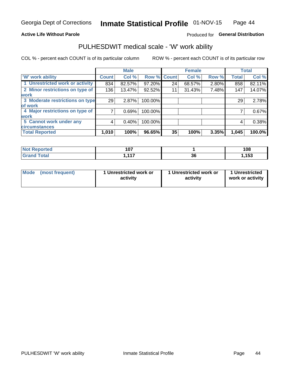#### **Active Life Without Parole**

#### Produced for General Distribution

### PULHESDWIT medical scale - 'W' work ability

COL % - percent each COUNT is of its particular column

|                                 |              | <b>Male</b> |         |             | <b>Female</b> |       |              | <b>Total</b> |
|---------------------------------|--------------|-------------|---------|-------------|---------------|-------|--------------|--------------|
| <b>W' work ability</b>          | <b>Count</b> | Col %       |         | Row % Count | Col %         | Row % | <b>Total</b> | Col %        |
| 1 Unrestricted work or activity | 834          | 82.57%      | 97.20%  | 24          | 68.57%        | 2.80% | 858          | 82.11%       |
| 2 Minor restrictions on type of | 136          | 13.47%      | 92.52%  | 11          | 31.43%        | 7.48% | 147          | 14.07%       |
| <b>work</b>                     |              |             |         |             |               |       |              |              |
| 3 Moderate restrictions on type | 29           | 2.87%       | 100.00% |             |               |       | 29           | 2.78%        |
| lof work                        |              |             |         |             |               |       |              |              |
| 4 Major restrictions on type of |              | 0.69%       | 100.00% |             |               |       |              | 0.67%        |
| <b>work</b>                     |              |             |         |             |               |       |              |              |
| 5 Cannot work under any         | 4            | 0.40%       | 100.00% |             |               |       | 4            | 0.38%        |
| <b>circumstances</b>            |              |             |         |             |               |       |              |              |
| <b>Total Reported</b>           | 1,010        | 100%        | 96.65%  | 35          | 100%          | 3.35% | 1,045        | 100.0%       |

| <b>Not Reported</b>         | 1 N.Z<br>1 V I |    | 108  |
|-----------------------------|----------------|----|------|
| <b>Total</b><br><b>Cron</b> | 447<br>. .     | 36 | ,153 |

| Mode (most frequent) | 1 Unrestricted work or | 1 Unrestricted work or | 1 Unrestricted   |
|----------------------|------------------------|------------------------|------------------|
|                      | activity               | activity               | work or activity |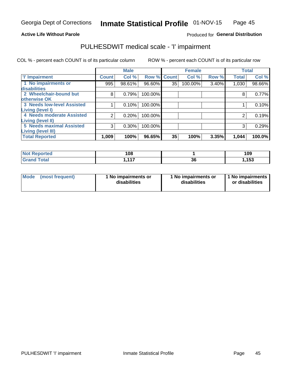#### **Active Life Without Parole**

#### Produced for General Distribution

## PULHESDWIT medical scale - 'I' impairment

COL % - percent each COUNT is of its particular column ROW % - percent each COUNT is of its particular row

|                                   |              | <b>Male</b> |             |    | <b>Female</b> |       |              | <b>Total</b> |
|-----------------------------------|--------------|-------------|-------------|----|---------------|-------|--------------|--------------|
| <b>T' Impairment</b>              | <b>Count</b> | Col %       | Row % Count |    | Col %         | Row % | <b>Total</b> | Col %        |
| 1 No impairments or               | 995          | 98.61%      | 96.60%      | 35 | 100.00%       | 3.40% | 1,030        | 98.66%       |
| <b>disabilities</b>               |              |             |             |    |               |       |              |              |
| 2 Wheelchair-bound but            | 8            | 0.79%       | 100.00%     |    |               |       | 8            | 0.77%        |
| otherwise OK                      |              |             |             |    |               |       |              |              |
| <b>3 Needs low-level Assisted</b> |              | 0.10%       | 100.00%     |    |               |       |              | 0.10%        |
| Living (level I)                  |              |             |             |    |               |       |              |              |
| 4 Needs moderate Assisted         | 2            | 0.20%       | 100.00%     |    |               |       |              | 0.19%        |
| Living (level II)                 |              |             |             |    |               |       |              |              |
| <b>5 Needs maximal Assisted</b>   | 3            | 0.30%       | 100.00%     |    |               |       | 3            | 0.29%        |
| <b>Living (level III)</b>         |              |             |             |    |               |       |              |              |
| <b>Total Reported</b>             | 1,009        | 100%        | 96.65%      | 35 | 100%          | 3.35% | 1,044        | 100.0%       |

| eported      | 108    |          | 109   |
|--------------|--------|----------|-------|
| <b>cotal</b> | $-447$ | ^^<br>კხ | , 153 |

| Mode | (most frequent) | 1 No impairments or<br>disabilities | 1 No impairments or<br>disabilities | 1 No impairments<br>or disabilities |
|------|-----------------|-------------------------------------|-------------------------------------|-------------------------------------|
|------|-----------------|-------------------------------------|-------------------------------------|-------------------------------------|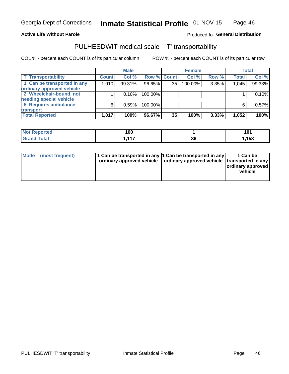#### **Active Life Without Parole**

#### Produced fo General Distribution

## PULHESDWIT medical scale - 'T' transportability

COL % - percent each COUNT is of its particular column

|                             |              | <b>Male</b> |             |    | <b>Female</b> |       |              | <b>Total</b> |
|-----------------------------|--------------|-------------|-------------|----|---------------|-------|--------------|--------------|
| <b>T' Transportability</b>  | <b>Count</b> | Col %       | Row % Count |    | Col %         | Row % | <b>Total</b> | Col %        |
| 1 Can be transported in any | 1,010        | 99.31%      | 96.65%      | 35 | 100.00%       | 3.35% | 1,045        | 99.33%       |
| ordinary approved vehicle   |              |             |             |    |               |       |              |              |
| 2 Wheelchair-bound, not     |              | 0.10%       | 100.00%     |    |               |       |              | 0.10%        |
| needing special vehicle     |              |             |             |    |               |       |              |              |
| 5 Requires ambulance        | 6            | 0.59%       | 100.00%     |    |               |       |              | 0.57%        |
| transport                   |              |             |             |    |               |       |              |              |
| <b>Total Reported</b>       | 1,017        | 100%        | 96.67%      | 35 | 100%          | 3.33% | 1,052        | 100%         |

| eported      | 100                   |    | ۰∩۰<br><u>. u i </u> |
|--------------|-----------------------|----|----------------------|
| <b>Total</b> | $\overline{447}$<br>. | ახ | .153.                |

| Mode (most frequent) | 1 Can be transported in any 1 Can be transported in any | ordinary approved vehicle   ordinary approved vehicle   transported in any | 1 Can be<br>ordinary approved<br>vehicle |
|----------------------|---------------------------------------------------------|----------------------------------------------------------------------------|------------------------------------------|
|                      |                                                         |                                                                            |                                          |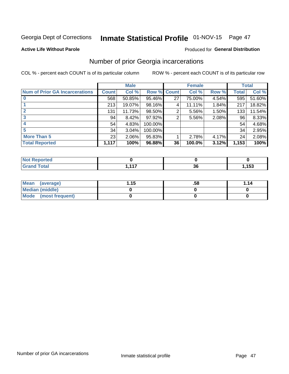## Inmate Statistical Profile 01-NOV-15 Page 47

#### **Active Life Without Parole**

#### Produced for General Distribution

### Number of prior Georgia incarcerations

COL % - percent each COUNT is of its particular column

|                                       |              | <b>Male</b> |                    |    | <b>Female</b> |       |       | <b>Total</b> |
|---------------------------------------|--------------|-------------|--------------------|----|---------------|-------|-------|--------------|
| <b>Num of Prior GA Incarcerations</b> | <b>Count</b> | Col %       | <b>Row % Count</b> |    | Col %         | Row % | Total | Col %        |
|                                       | 568          | 50.85%      | 95.46%             | 27 | 75.00%        | 4.54% | 595   | 51.60%       |
|                                       | 213          | 19.07%      | 98.16%             | 4  | 11.11%        | 1.84% | 217   | 18.82%       |
|                                       | 131          | 11.73%      | 98.50%             | 2  | 5.56%         | 1.50% | 133   | 11.54%       |
| 3                                     | 94           | 8.42%       | 97.92%             | 2  | 5.56%         | 2.08% | 96    | 8.33%        |
| 4                                     | 54           | 4.83%       | 100.00%            |    |               |       | 54    | 4.68%        |
| 5                                     | 34           | 3.04%       | 100.00%            |    |               |       | 34    | 2.95%        |
| <b>More Than 5</b>                    | 23           | 2.06%       | 95.83%             |    | 2.78%         | 4.17% | 24    | 2.08%        |
| <b>Total Reported</b>                 | 1,117        | 100%        | 96.88%             | 36 | 100.0%        | 3.12% | 1,153 | 100%         |

| orted<br><b>NI</b> |     |                      |       |
|--------------------|-----|----------------------|-------|
| <b>otal</b>        | 447 | $\ddot{\phantom{0}}$ | 4 P.O |
| $\mathbf{v}$ and   |     | 56                   | 153   |

| Mean (average)       | 1.15 | .58 | 1.14 |
|----------------------|------|-----|------|
| Median (middle)      |      |     |      |
| Mode (most frequent) |      |     |      |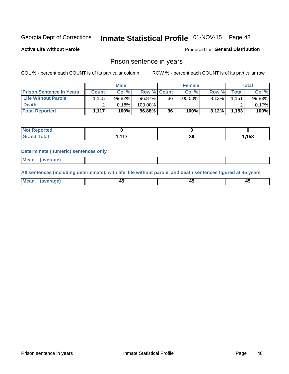## Inmate Statistical Profile 01-NOV-15 Page 48

**Active Life Without Parole** 

**Produced for General Distribution** 

### Prison sentence in years

COL % - percent each COUNT is of its particular column

ROW % - percent each COUNT is of its particular row

|                                 |              | <b>Male</b> |                    |    | <b>Female</b> |          |             | Total  |
|---------------------------------|--------------|-------------|--------------------|----|---------------|----------|-------------|--------|
| <b>Prison Sentence In Years</b> | <b>Count</b> | Col %       | <b>Row % Count</b> |    | Col %         | Row %    | $\tau$ otal | Col %  |
| Life Without Parole             | .115         | 99.82%      | 96.87%             | 36 | 100.00%       | $3.13\%$ | 1.151       | 99.83% |
| <b>Death</b>                    |              | 0.18%       | 100.00%            |    |               |          |             | 0.17%  |
| <b>Total Reported</b>           | 1.117        | 100%        | 96.88%             | 36 | 100%          | 3.12%    | 1,153       | 100%   |

| ported      |             |          |       |
|-------------|-------------|----------|-------|
| <b>otal</b> | $-447$<br>. | ^^<br>JО | , 153 |

#### **Determinate (numeric) sentences only**

| 1112211 | <b>Mean</b> | Ane <sup>*</sup> |  |  |
|---------|-------------|------------------|--|--|

All sentences (including determinate), with life, life without parole, and death sentences figured at 45 years

| Me: |  |  |  |
|-----|--|--|--|
|     |  |  |  |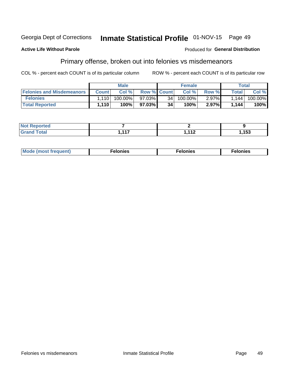#### Georgia Dept of Corrections Inmate Statistical Profile 01-NOV-15 Page 49

#### **Active Life Without Parole**

#### **Produced for General Distribution**

### Primary offense, broken out into felonies vs misdemeanors

COL % - percent each COUNT is of its particular column

|                                  |              | <b>Male</b> |                    |      | <b>Female</b> |          | Total   |         |
|----------------------------------|--------------|-------------|--------------------|------|---------------|----------|---------|---------|
| <b>Felonies and Misdemeanors</b> | <b>Count</b> | Col $%$     | <b>Row % Count</b> |      | Col%          | Row %    | Total i | Col %   |
| <b>Felonies</b>                  | 1.110        | $100.00\%$  | 97.03%             | 34 I | 100.00%       | $2.97\%$ | 1.144   | 100.00% |
| <b>Total Reported</b>            | 1,110        | $100\%$     | 97.03%             | 34   | 100%          | 2.97%    | 1,144   | 100%    |

| <b>Not Reported</b> |        |     |       |
|---------------------|--------|-----|-------|
| d Total             | $-447$ | 110 | 153،، |
| <b>Grand</b>        | .      | .   |       |

| $Mc$<br>equent)<br>нез<br>$\sim$<br>. | onies<br>. | <b>onies</b><br>. |
|---------------------------------------|------------|-------------------|
|---------------------------------------|------------|-------------------|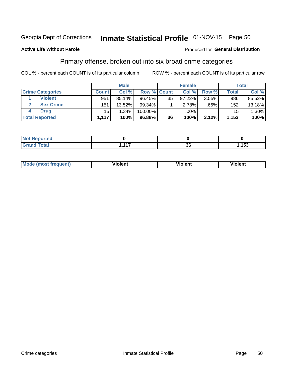#### Inmate Statistical Profile 01-NOV-15 Page 50 Georgia Dept of Corrections

#### **Active Life Without Parole**

### Produced for General Distribution

### Primary offense, broken out into six broad crime categories

COL % - percent each COUNT is of its particular column

|                         |              | <b>Male</b> |                    |                 | <b>Female</b> |         |                 | Total    |
|-------------------------|--------------|-------------|--------------------|-----------------|---------------|---------|-----------------|----------|
| <b>Crime Categories</b> | <b>Count</b> | Col%        | <b>Row % Count</b> |                 | Col %         | Row %   | <b>Total</b>    | Col %    |
| <b>Violent</b>          | 951          | 85.14%      | 96.45%             | 35              | 97.22%        | 3.55%   | 986             | 85.52%   |
| <b>Sex Crime</b>        | 151          | 13.52%      | $99.34\%$          |                 | 2.78%         | $.66\%$ | 152             | 13.18%   |
| <b>Drug</b>             | 15           | 1.34%       | 100.00%            |                 | .00%          |         | 15 <sup>1</sup> | $1.30\%$ |
| <b>Total Reported</b>   | 1,117        | 100%        | 96.88%             | 36 <sub>1</sub> | 100%          | 3.12%   | 1,153           | 100%     |

| _<br>_______ | .<br>. .<br>.<br>. . | ^^<br>IJu | $\overline{ }$<br>. Ju<br>- - |
|--------------|----------------------|-----------|-------------------------------|

| Mo<br>ent'<br>. | .<br>lent<br>ш | olent | --<br>. |
|-----------------|----------------|-------|---------|
|                 |                |       |         |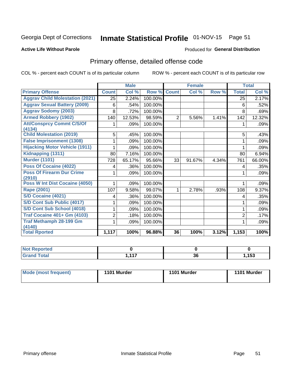## Inmate Statistical Profile 01-NOV-15 Page 51

#### **Active Life Without Parole**

#### **Produced for General Distribution**

## Primary offense, detailed offense code

COL % - percent each COUNT is of its particular column

|                                            |                | <b>Male</b> |         |                | <b>Female</b> |       |                | <b>Total</b> |
|--------------------------------------------|----------------|-------------|---------|----------------|---------------|-------|----------------|--------------|
| <b>Primary Offense</b>                     | <b>Count</b>   | Col %       | Row %   | <b>Count</b>   | Col %         | Row % | <b>Total</b>   | Col %        |
| <b>Aggrav Child Molestation (2021)</b>     | 25             | 2.24%       | 100.00% |                |               |       | 25             | 2.17%        |
| <b>Aggrav Sexual Battery (2009)</b>        | 6              | .54%        | 100.00% |                |               |       | 6              | .52%         |
| <b>Aggrav Sodomy (2003)</b>                | 8              | .72%        | 100.00% |                |               |       | 8              | .69%         |
| <b>Armed Robbery (1902)</b>                | 140            | 12.53%      | 98.59%  | $\overline{2}$ | 5.56%         | 1.41% | 142            | 12.32%       |
| <b>Att/Consprcy Commt C/S/Of</b>           |                | .09%        | 100.00% |                |               |       | 1              | $.09\%$      |
| (4134)<br><b>Child Molestation (2019)</b>  | 5              | .45%        | 100.00% |                |               |       | 5              | .43%         |
| <b>False Imprisonment (1308)</b>           |                | .09%        | 100.00% |                |               |       |                | .09%         |
| <b>Hijacking Motor Vehicle (1911)</b>      |                | .09%        | 100.00% |                |               |       |                | .09%         |
| Kidnapping (1311)                          | 80             | 7.16%       | 100.00% |                |               |       | 80             | 6.94%        |
| <b>Murder (1101)</b>                       | 728            | 65.17%      | 95.66%  | 33             | 91.67%        | 4.34% | 761            | 66.00%       |
| Poss Of Cocaine (4022)                     | 4              | .36%        | 100.00% |                |               |       | 4              | .35%         |
| <b>Poss Of Firearm Dur Crime</b><br>(2910) | 1              | .09%        | 100.00% |                |               |       | 1              | .09%         |
| <b>Poss W Int Dist Cocaine (4050)</b>      |                | .09%        | 100.00% |                |               |       |                | .09%         |
| Rape (2001)                                | 107            | 9.58%       | 99.07%  | 1.             | 2.78%         | .93%  | 108            | 9.37%        |
| S/D Cocaine (4021)                         | 4              | .36%        | 100.00% |                |               |       | 4              | .35%         |
| S/D Cont Sub Public (4017)                 |                | .09%        | 100.00% |                |               |       | 1              | .09%         |
| S/D Cont Sub School (4018)                 |                | .09%        | 100.00% |                |               |       | 1              | .09%         |
| <b>Traf Cocaine 401+ Gm (4103)</b>         | $\overline{2}$ | .18%        | 100.00% |                |               |       | $\overline{2}$ | .17%         |
| <b>Traf Methamph 28-199 Gm</b>             | 1              | .09%        | 100.00% |                |               |       |                | .09%         |
| (4140)<br><b>Total Rported</b>             | 1,117          | 100%        | 96.88%  | 36             | 100%          | 3.12% | 1,153          | 100%         |

| , tea<br>$\sim$             |                       |          |                |
|-----------------------------|-----------------------|----------|----------------|
| $\sim$ $\sim$ $\sim$ $\sim$ | $\overline{447}$<br>. | ^^<br>კნ | $\overline{ }$ |

| 1101 Murder<br>Mode (most frequent)<br>1101 Murder | 1101 Murder |
|----------------------------------------------------|-------------|
|----------------------------------------------------|-------------|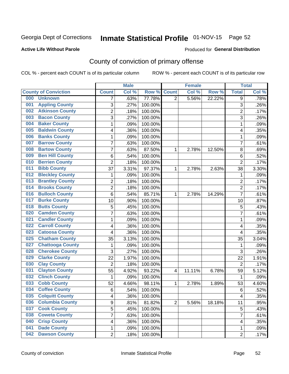## Inmate Statistical Profile 01-NOV-15 Page 52

#### **Active Life Without Parole**

#### Produced for General Distribution

## County of conviction of primary offense

COL % - percent each COUNT is of its particular column

|     |                             |                | <b>Male</b> |         |                | <b>Female</b> |        |                         | <b>Total</b> |
|-----|-----------------------------|----------------|-------------|---------|----------------|---------------|--------|-------------------------|--------------|
|     | <b>County of Conviction</b> | <b>Count</b>   | Col %       | Row %   | <b>Count</b>   | Col %         | Row %  | <b>Total</b>            | Col %        |
| 000 | <b>Unknown</b>              | 7              | .63%        | 77.78%  | $\overline{2}$ | 5.56%         | 22.22% | 9                       | .78%         |
| 001 | <b>Appling County</b>       | 3              | .27%        | 100.00% |                |               |        | 3                       | .26%         |
| 002 | <b>Atkinson County</b>      | $\overline{c}$ | .18%        | 100.00% |                |               |        | $\overline{c}$          | .17%         |
| 003 | <b>Bacon County</b>         | $\overline{3}$ | .27%        | 100.00% |                |               |        | $\overline{3}$          | .26%         |
| 004 | <b>Baker County</b>         | 1              | .09%        | 100.00% |                |               |        | $\mathbf{1}$            | .09%         |
| 005 | <b>Baldwin County</b>       | 4              | .36%        | 100.00% |                |               |        | $\overline{\mathbf{4}}$ | .35%         |
| 006 | <b>Banks County</b>         | 1              | .09%        | 100.00% |                |               |        | $\mathbf 1$             | .09%         |
| 007 | <b>Barrow County</b>        | 7              | .63%        | 100.00% |                |               |        | $\overline{7}$          | .61%         |
| 008 | <b>Bartow County</b>        | $\overline{7}$ | .63%        | 87.50%  | 1              | 2.78%         | 12.50% | 8                       | .69%         |
| 009 | <b>Ben Hill County</b>      | $\,6$          | .54%        | 100.00% |                |               |        | 6                       | .52%         |
| 010 | <b>Berrien County</b>       | $\overline{2}$ | .18%        | 100.00% |                |               |        | $\overline{2}$          | .17%         |
| 011 | <b>Bibb County</b>          | 37             | 3.31%       | 97.37%  | 1              | 2.78%         | 2.63%  | 38                      | 3.30%        |
| 012 | <b>Bleckley County</b>      | 1              | .09%        | 100.00% |                |               |        | $\mathbf 1$             | .09%         |
| 013 | <b>Brantley County</b>      | $\overline{2}$ | .18%        | 100.00% |                |               |        | $\overline{2}$          | .17%         |
| 014 | <b>Brooks County</b>        | $\overline{2}$ | .18%        | 100.00% |                |               |        | $\overline{2}$          | .17%         |
| 016 | <b>Bulloch County</b>       | $\,6$          | .54%        | 85.71%  | 1              | 2.78%         | 14.29% | $\overline{7}$          | .61%         |
| 017 | <b>Burke County</b>         | 10             | .90%        | 100.00% |                |               |        | 10                      | .87%         |
| 018 | <b>Butts County</b>         | 5              | .45%        | 100.00% |                |               |        | 5                       | .43%         |
| 020 | <b>Camden County</b>        | 7              | .63%        | 100.00% |                |               |        | $\overline{7}$          | .61%         |
| 021 | <b>Candler County</b>       | 1              | .09%        | 100.00% |                |               |        | 1                       | .09%         |
| 022 | <b>Carroll County</b>       | 4              | .36%        | 100.00% |                |               |        | $\overline{\mathbf{4}}$ | .35%         |
| 023 | <b>Catoosa County</b>       | 4              | .36%        | 100.00% |                |               |        | $\overline{\mathbf{4}}$ | .35%         |
| 025 | <b>Chatham County</b>       | 35             | 3.13%       | 100.00% |                |               |        | 35                      | 3.04%        |
| 027 | <b>Chattooga County</b>     | $\mathbf{1}$   | .09%        | 100.00% |                |               |        | $\mathbf{1}$            | .09%         |
| 028 | <b>Cherokee County</b>      | 3              | .27%        | 100.00% |                |               |        | 3                       | .26%         |
| 029 | <b>Clarke County</b>        | 22             | 1.97%       | 100.00% |                |               |        | 22                      | 1.91%        |
| 030 | <b>Clay County</b>          | $\overline{2}$ | .18%        | 100.00% |                |               |        | $\overline{2}$          | .17%         |
| 031 | <b>Clayton County</b>       | 55             | 4.92%       | 93.22%  | 4              | 11.11%        | 6.78%  | 59                      | 5.12%        |
| 032 | <b>Clinch County</b>        | $\mathbf 1$    | .09%        | 100.00% |                |               |        | $\mathbf{1}$            | .09%         |
| 033 | <b>Cobb County</b>          | 52             | 4.66%       | 98.11%  | 1              | 2.78%         | 1.89%  | 53                      | 4.60%        |
| 034 | <b>Coffee County</b>        | $\,6$          | .54%        | 100.00% |                |               |        | $6\phantom{1}6$         | .52%         |
| 035 | <b>Colquitt County</b>      | 4              | .36%        | 100.00% |                |               |        | 4                       | .35%         |
| 036 | <b>Columbia County</b>      | 9              | .81%        | 81.82%  | $\overline{2}$ | 5.56%         | 18.18% | 11                      | .95%         |
| 037 | <b>Cook County</b>          | $\overline{5}$ | .45%        | 100.00% |                |               |        | 5                       | .43%         |
| 038 | <b>Coweta County</b>        | 7              | .63%        | 100.00% |                |               |        | $\overline{7}$          | .61%         |
| 040 | <b>Crisp County</b>         | 4              | .36%        | 100.00% |                |               |        | $\overline{\mathbf{4}}$ | .35%         |
| 041 | <b>Dade County</b>          | 1              | .09%        | 100.00% |                |               |        | 1                       | .09%         |
| 042 | <b>Dawson County</b>        | $\overline{2}$ | .18%        | 100.00% |                |               |        | $\overline{2}$          | .17%         |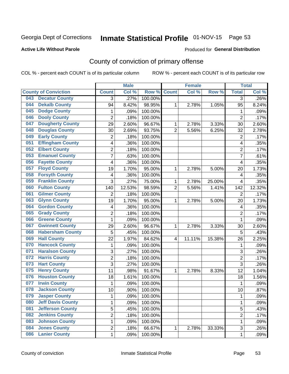## Inmate Statistical Profile 01-NOV-15 Page 53

#### **Active Life Without Parole**

#### Produced for General Distribution

## County of conviction of primary offense

COL % - percent each COUNT is of its particular column

|                                 |                         | <b>Male</b> |         |                | <b>Female</b> |        |                | <b>Total</b> |
|---------------------------------|-------------------------|-------------|---------|----------------|---------------|--------|----------------|--------------|
| <b>County of Conviction</b>     | <b>Count</b>            | Col %       | Row %   | <b>Count</b>   | Col %         | Row %  | <b>Total</b>   | Col %        |
| <b>Decatur County</b><br>043    | 3                       | .27%        | 100.00% |                |               |        | 3              | $.26\%$      |
| <b>Dekalb County</b><br>044     | 94                      | 8.42%       | 98.95%  | 1              | 2.78%         | 1.05%  | 95             | 8.24%        |
| <b>Dodge County</b><br>045      | 1                       | .09%        | 100.00% |                |               |        | 1              | .09%         |
| <b>Dooly County</b><br>046      | $\overline{2}$          | .18%        | 100.00% |                |               |        | $\overline{2}$ | .17%         |
| <b>Dougherty County</b><br>047  | 29                      | 2.60%       | 96.67%  | 1              | 2.78%         | 3.33%  | 30             | 2.60%        |
| <b>Douglas County</b><br>048    | 30                      | 2.69%       | 93.75%  | $\overline{2}$ | 5.56%         | 6.25%  | 32             | 2.78%        |
| <b>Early County</b><br>049      | $\overline{c}$          | .18%        | 100.00% |                |               |        | $\overline{2}$ | .17%         |
| <b>Effingham County</b><br>051  | 4                       | .36%        | 100.00% |                |               |        | 4              | .35%         |
| <b>Elbert County</b><br>052     | 2                       | .18%        | 100.00% |                |               |        | $\overline{2}$ | .17%         |
| <b>Emanuel County</b><br>053    | $\overline{7}$          | .63%        | 100.00% |                |               |        | 7              | .61%         |
| <b>Fayette County</b><br>056    | 4                       | .36%        | 100.00% |                |               |        | 4              | .35%         |
| <b>Floyd County</b><br>057      | 19                      | 1.70%       | 95.00%  | 1              | 2.78%         | 5.00%  | 20             | 1.73%        |
| <b>Forsyth County</b><br>058    | 4                       | .36%        | 100.00% |                |               |        | 4              | .35%         |
| <b>Franklin County</b><br>059   | 3                       | .27%        | 75.00%  | 1              | 2.78%         | 25.00% | 4              | .35%         |
| <b>Fulton County</b><br>060     | 140                     | 12.53%      | 98.59%  | $\overline{2}$ | 5.56%         | 1.41%  | 142            | 12.32%       |
| <b>Gilmer County</b><br>061     | $\overline{2}$          | .18%        | 100.00% |                |               |        | $\overline{2}$ | .17%         |
| <b>Glynn County</b><br>063      | 19                      | 1.70%       | 95.00%  | 1              | 2.78%         | 5.00%  | 20             | 1.73%        |
| <b>Gordon County</b><br>064     | 4                       | .36%        | 100.00% |                |               |        | 4              | .35%         |
| <b>Grady County</b><br>065      | $\overline{2}$          | .18%        | 100.00% |                |               |        | $\overline{2}$ | .17%         |
| <b>Greene County</b><br>066     | 1                       | .09%        | 100.00% |                |               |        | $\mathbf{1}$   | .09%         |
| <b>Gwinnett County</b><br>067   | 29                      | 2.60%       | 96.67%  | 1              | 2.78%         | 3.33%  | 30             | 2.60%        |
| <b>Habersham County</b><br>068  | 5                       | .45%        | 100.00% |                |               |        | 5              | .43%         |
| <b>Hall County</b><br>069       | 22                      | 1.97%       | 84.62%  | 4              | 11.11%        | 15.38% | 26             | 2.25%        |
| <b>Hancock County</b><br>070    | 1                       | .09%        | 100.00% |                |               |        | 1              | .09%         |
| <b>Haralson County</b><br>071   | 3                       | .27%        | 100.00% |                |               |        | 3              | .26%         |
| <b>Harris County</b><br>072     | $\overline{2}$          | .18%        | 100.00% |                |               |        | $\overline{2}$ | .17%         |
| <b>Hart County</b><br>073       | 3                       | .27%        | 100.00% |                |               |        | $\overline{3}$ | .26%         |
| <b>Henry County</b><br>075      | 11                      | .98%        | 91.67%  | 1              | 2.78%         | 8.33%  | 12             | 1.04%        |
| <b>Houston County</b><br>076    | 18                      | 1.61%       | 100.00% |                |               |        | 18             | 1.56%        |
| <b>Irwin County</b><br>077      | $\mathbf{1}$            | .09%        | 100.00% |                |               |        | $\mathbf{1}$   | .09%         |
| 078<br><b>Jackson County</b>    | 10                      | .90%        | 100.00% |                |               |        | 10             | .87%         |
| 079<br><b>Jasper County</b>     | 1                       | .09%        | 100.00% |                |               |        | 1              | .09%         |
| <b>Jeff Davis County</b><br>080 | 1                       | .09%        | 100.00% |                |               |        | $\mathbf{1}$   | .09%         |
| <b>Jefferson County</b><br>081  | $\overline{5}$          | .45%        | 100.00% |                |               |        | 5              | .43%         |
| <b>Jenkins County</b><br>082    | $\overline{\mathbf{c}}$ | .18%        | 100.00% |                |               |        | $\overline{2}$ | .17%         |
| <b>Johnson County</b><br>083    | 1                       | .09%        | 100.00% |                |               |        | $\mathbf{1}$   | .09%         |
| <b>Jones County</b><br>084      | 2                       | .18%        | 66.67%  | $\mathbf{1}$   | 2.78%         | 33.33% | 3              | .26%         |
| <b>Lanier County</b><br>086     | $\mathbf 1$             | .09%        | 100.00% |                |               |        | 1              | .09%         |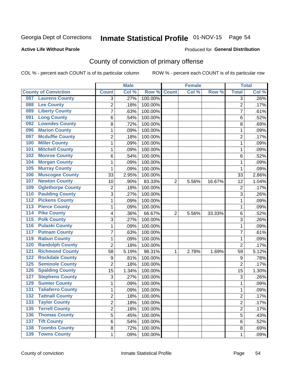## Inmate Statistical Profile 01-NOV-15 Page 54

#### **Active Life Without Parole**

#### Produced for General Distribution

## County of conviction of primary offense

COL % - percent each COUNT is of its particular column

|                                            |                | <b>Male</b> |                  |                | <b>Female</b> |        |                | <b>Total</b> |
|--------------------------------------------|----------------|-------------|------------------|----------------|---------------|--------|----------------|--------------|
| <b>County of Conviction</b>                | <b>Count</b>   | Col %       | Row <sup>%</sup> | <b>Count</b>   | Col %         | Row %  | <b>Total</b>   | Col %        |
| <b>Laurens County</b><br>087               | 3              | .27%        | 100.00%          |                |               |        | 3              | .26%         |
| <b>Lee County</b><br>088                   | $\overline{2}$ | .18%        | 100.00%          |                |               |        | $\overline{2}$ | .17%         |
| <b>Liberty County</b><br>089               | 7              | .63%        | 100.00%          |                |               |        | 7              | .61%         |
| <b>Long County</b><br>091                  | 6              | .54%        | 100.00%          |                |               |        | 6              | .52%         |
| <b>Lowndes County</b><br>092               | 8              | .72%        | 100.00%          |                |               |        | 8              | .69%         |
| <b>Marion County</b><br>096                | 1              | .09%        | 100.00%          |                |               |        | $\mathbf{1}$   | .09%         |
| <b>Mcduffie County</b><br>097              | 2              | .18%        | 100.00%          |                |               |        | $\overline{2}$ | .17%         |
| <b>Miller County</b><br>100                | 1              | .09%        | 100.00%          |                |               |        | $\mathbf{1}$   | .09%         |
| <b>Mitchell County</b><br>101              | 1              | .09%        | 100.00%          |                |               |        | 1              | .09%         |
| <b>Monroe County</b><br>102                | 6              | .54%        | 100.00%          |                |               |        | 6              | .52%         |
| <b>Morgan County</b><br>104                | 1              | .09%        | 100.00%          |                |               |        | 1              | .09%         |
| <b>Murray County</b><br>105                | 1              | .09%        | 100.00%          |                |               |        | 1              | .09%         |
| <b>Muscogee County</b><br>106              | 33             | 2.95%       | 100.00%          |                |               |        | 33             | 2.86%        |
| <b>Newton County</b><br>107                | 10             | .90%        | 83.33%           | $\overline{2}$ | 5.56%         | 16.67% | 12             | 1.04%        |
| <b>Oglethorpe County</b><br>109            | 2              | .18%        | 100.00%          |                |               |        | $\overline{2}$ | .17%         |
| <b>Paulding County</b><br>110              | 3              | .27%        | 100.00%          |                |               |        | 3              | .26%         |
| <b>Pickens County</b><br>112               | 1              | .09%        | 100.00%          |                |               |        | 1              | .09%         |
| <b>Pierce County</b><br>$\overline{113}$   | 1              | .09%        | 100.00%          |                |               |        | 1              | .09%         |
| <b>Pike County</b><br>$\overline{114}$     | 4              | .36%        | 66.67%           | $\overline{2}$ | 5.56%         | 33.33% | 6              | .52%         |
| <b>Polk County</b><br>$\overline{115}$     | 3              | .27%        | 100.00%          |                |               |        | $\overline{3}$ | .26%         |
| <b>Pulaski County</b><br>116               | 1              | .09%        | 100.00%          |                |               |        | 1              | .09%         |
| <b>Putnam County</b><br>117                | $\overline{7}$ | .63%        | 100.00%          |                |               |        | $\overline{7}$ | .61%         |
| <b>Rabun County</b><br>119                 | 1              | .09%        | 100.00%          |                |               |        | $\mathbf{1}$   | .09%         |
| <b>Randolph County</b><br>120              | $\overline{2}$ | .18%        | 100.00%          |                |               |        | $\overline{2}$ | .17%         |
| <b>Richmond County</b><br>121              | 58             | 5.19%       | 98.31%           | 1              | 2.78%         | 1.69%  | 59             | 5.12%        |
| <b>Rockdale County</b><br>122              | 9              | .81%        | 100.00%          |                |               |        | 9              | .78%         |
| <b>Seminole County</b><br>$\overline{125}$ | $\overline{2}$ | .18%        | 100.00%          |                |               |        | $\overline{2}$ | .17%         |
| <b>Spalding County</b><br>126              | 15             | 1.34%       | 100.00%          |                |               |        | 15             | 1.30%        |
| <b>Stephens County</b><br>127              | 3              | .27%        | 100.00%          |                |               |        | 3              | .26%         |
| <b>Sumter County</b><br>129                | 1              | .09%        | 100.00%          |                |               |        | 1              | .09%         |
| <b>Taliaferro County</b><br>131            | 1              | .09%        | 100.00%          |                |               |        | 1              | .09%         |
| 132<br><b>Tattnall County</b>              | $\overline{c}$ | .18%        | 100.00%          |                |               |        | 2              | .17%         |
| <b>Taylor County</b><br>133                | $\overline{2}$ | .18%        | 100.00%          |                |               |        | $\overline{2}$ | .17%         |
| <b>Terrell County</b><br>$\overline{135}$  | $\overline{2}$ | .18%        | 100.00%          |                |               |        | $\overline{2}$ | .17%         |
| <b>Thomas County</b><br>136                | 5              | .45%        | 100.00%          |                |               |        | 5              | .43%         |
| <b>Tift County</b><br>137                  | 6              | .54%        | 100.00%          |                |               |        | 6              | .52%         |
| <b>Toombs County</b><br>138                | 8              | .72%        | 100.00%          |                |               |        | 8              | .69%         |
| <b>139 Towns County</b>                    | $\mathbf{1}$   | .09%        | 100.00%          |                |               |        | 1              | .09%         |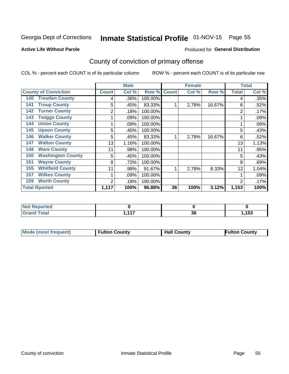## Inmate Statistical Profile 01-NOV-15 Page 55

#### **Active Life Without Parole**

#### **Produced for General Distribution**

## County of conviction of primary offense

COL % - percent each COUNT is of its particular column

|                                 |              | <b>Male</b> |         |              | <b>Female</b> |        |              | <b>Total</b> |
|---------------------------------|--------------|-------------|---------|--------------|---------------|--------|--------------|--------------|
| <b>County of Conviction</b>     | <b>Count</b> | Col %       | Row %   | <b>Count</b> | Col %         | Row %  | <b>Total</b> | Col %        |
| <b>Treutlen County</b><br>140   | 4            | .36%        | 100.00% |              |               |        | 4            | .35%         |
| <b>Troup County</b><br>141      | 5            | .45%        | 83.33%  |              | 2.78%         | 16.67% | 6            | .52%         |
| <b>Turner County</b><br>142     | 2            | .18%        | 100.00% |              |               |        | 2            | .17%         |
| <b>Twiggs County</b><br>143     |              | .09%        | 100.00% |              |               |        |              | .09%         |
| <b>Union County</b><br>144      |              | .09%        | 100.00% |              |               |        |              | .09%         |
| <b>Upson County</b><br>145      | 5            | .45%        | 100.00% |              |               |        | 5            | .43%         |
| <b>Walker County</b><br>146     | 5            | .45%        | 83.33%  |              | 2.78%         | 16.67% | 6            | .52%         |
| <b>Walton County</b><br>147     | 13           | 1.16%       | 100.00% |              |               |        | 13           | 1.13%        |
| <b>Ware County</b><br>148       | 11           | .98%        | 100.00% |              |               |        | 11           | .95%         |
| <b>Washington County</b><br>150 | 5            | .45%        | 100.00% |              |               |        | 5            | .43%         |
| <b>Wayne County</b><br>151      | 8            | .72%        | 100.00% |              |               |        | 8            | .69%         |
| <b>Whitfield County</b><br>155  | 11           | .98%        | 91.67%  |              | 2.78%         | 8.33%  | 12           | 1.04%        |
| 157<br><b>Wilkes County</b>     |              | .09%        | 100.00% |              |               |        |              | .09%         |
| <b>Worth County</b><br>159      | 2            | .18%        | 100.00% |              |               |        | 2            | .17%         |
| <b>Total Rported</b>            | 1,117        | 100%        | 96.88%  | 36           | 100%          | 3.12%  | 1,153        | 100%         |

| <b>ported</b><br><b>NO</b>  |     |          |       |
|-----------------------------|-----|----------|-------|
| <b>otal</b><br><b>Grand</b> | 447 | 26<br>ად | 1,153 |

| <b>Mode (most frequent)</b> | <b>Fulton County</b> | <b>Hall County</b> | <b>Fulton County</b> |
|-----------------------------|----------------------|--------------------|----------------------|
|                             |                      |                    |                      |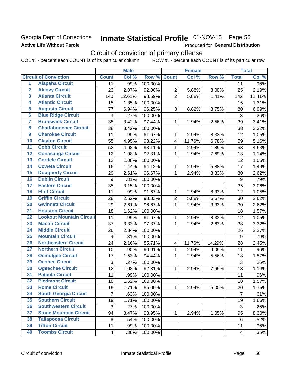### Georgia Dept of Corrections **Active Life Without Parole**

## Inmate Statistical Profile 01-NOV-15 Page 56

Produced for General Distribution

## Circuit of conviction of primary offense

COL % - percent each COUNT is of its particular column ROW % - percent each COUNT is of its particular row

|                         |                                 |                | <b>Male</b> |         |                | <b>Female</b> |        |                | <b>Total</b> |
|-------------------------|---------------------------------|----------------|-------------|---------|----------------|---------------|--------|----------------|--------------|
|                         | <b>Circuit of Conviction</b>    | <b>Count</b>   | Col %       | Row %   | <b>Count</b>   | Col %         | Row %  | <b>Total</b>   | Col %        |
| 1                       | <b>Alapaha Circuit</b>          | 11             | .99%        | 100.00% |                |               |        | 11             | .96%         |
| $\overline{2}$          | <b>Alcovy Circuit</b>           | 23             | 2.07%       | 92.00%  | $\overline{2}$ | 5.88%         | 8.00%  | 25             | 2.19%        |
| $\overline{\mathbf{3}}$ | <b>Atlanta Circuit</b>          | 140            | 12.61%      | 98.59%  | $\overline{2}$ | 5.88%         | 1.41%  | 142            | 12.41%       |
| $\overline{4}$          | <b>Atlantic Circuit</b>         | 15             | 1.35%       | 100.00% |                |               |        | 15             | 1.31%        |
| 5                       | <b>Augusta Circuit</b>          | 77             | 6.94%       | 96.25%  | 3              | 8.82%         | 3.75%  | 80             | 6.99%        |
| $\overline{\bf{6}}$     | <b>Blue Ridge Circuit</b>       | 3              | .27%        | 100.00% |                |               |        | 3              | .26%         |
| $\overline{\mathbf{7}}$ | <b>Brunswick Circuit</b>        | 38             | 3.42%       | 97.44%  | 1              | 2.94%         | 2.56%  | 39             | 3.41%        |
| $\overline{\mathbf{8}}$ | <b>Chattahoochee Circuit</b>    | 38             | 3.42%       | 100.00% |                |               |        | 38             | 3.32%        |
| $\overline{9}$          | <b>Cherokee Circuit</b>         | 11             | .99%        | 91.67%  | 1              | 2.94%         | 8.33%  | 12             | 1.05%        |
| 10                      | <b>Clayton Circuit</b>          | 55             | 4.95%       | 93.22%  | $\overline{4}$ | 11.76%        | 6.78%  | 59             | 5.16%        |
| $\overline{11}$         | <b>Cobb Circuit</b>             | 52             | 4.68%       | 98.11%  | 1              | 2.94%         | 1.89%  | 53             | 4.63%        |
| $\overline{12}$         | <b>Conasauga Circuit</b>        | 12             | 1.08%       | 92.31%  | 1              | 2.94%         | 7.69%  | 13             | 1.14%        |
| 13                      | <b>Cordele Circuit</b>          | 12             | 1.08%       | 100.00% |                |               |        | 12             | 1.05%        |
| 14                      | <b>Coweta Circuit</b>           | 16             | 1.44%       | 94.12%  | 1              | 2.94%         | 5.88%  | 17             | 1.49%        |
| 15                      | <b>Dougherty Circuit</b>        | 29             | 2.61%       | 96.67%  | 1              | 2.94%         | 3.33%  | 30             | 2.62%        |
| 16                      | <b>Dublin Circuit</b>           | 9              | .81%        | 100.00% |                |               |        | 9              | .79%         |
| 17                      | <b>Eastern Circuit</b>          | 35             | 3.15%       | 100.00% |                |               |        | 35             | 3.06%        |
| 18                      | <b>Flint Circuit</b>            | 11             | .99%        | 91.67%  | 1              | 2.94%         | 8.33%  | 12             | 1.05%        |
| 19                      | <b>Griffin Circuit</b>          | 28             | 2.52%       | 93.33%  | $\overline{2}$ | 5.88%         | 6.67%  | 30             | 2.62%        |
| $\overline{20}$         | <b>Gwinnett Circuit</b>         | 29             | 2.61%       | 96.67%  | 1              | 2.94%         | 3.33%  | 30             | 2.62%        |
| $\overline{21}$         | <b>Houston Circuit</b>          | 18             | 1.62%       | 100.00% |                |               |        | 18             | 1.57%        |
| $\overline{22}$         | <b>Lookout Mountain Circuit</b> | 11             | .99%        | 91.67%  | $\mathbf{1}$   | 2.94%         | 8.33%  | 12             | 1.05%        |
| 23                      | <b>Macon Circuit</b>            | 37             | 3.33%       | 97.37%  | 1              | 2.94%         | 2.63%  | 38             | 3.32%        |
| $\overline{24}$         | <b>Middle Circuit</b>           | 26             | 2.34%       | 100.00% |                |               |        | 26             | 2.27%        |
| 25                      | <b>Mountain Circuit</b>         | 9              | .81%        | 100.00% |                |               |        | 9              | .79%         |
| 26                      | <b>Northeastern Circuit</b>     | 24             | 2.16%       | 85.71%  | $\overline{4}$ | 11.76%        | 14.29% | 28             | 2.45%        |
| $\overline{27}$         | <b>Northern Circuit</b>         | 10             | .90%        | 90.91%  | 1              | 2.94%         | 9.09%  | 11             | .96%         |
| 28                      | <b>Ocmulgee Circuit</b>         | 17             | 1.53%       | 94.44%  | 1              | 2.94%         | 5.56%  | 18             | 1.57%        |
| 29                      | <b>Oconee Circuit</b>           | 3              | .27%        | 100.00% |                |               |        | 3              | .26%         |
| 30                      | <b>Ogeechee Circuit</b>         | 12             | 1.08%       | 92.31%  | 1              | 2.94%         | 7.69%  | 13             | 1.14%        |
| $\overline{31}$         | <b>Pataula Circuit</b>          | 11             | .99%        | 100.00% |                |               |        | 11             | .96%         |
| $\overline{32}$         | <b>Piedmont Circuit</b>         | 18             | 1.62%       | 100.00% |                |               |        | 18             | 1.57%        |
| 33                      | <b>Rome Circuit</b>             | 19             | 1.71%       | 95.00%  | $\mathbf{1}$   | 2.94%         | 5.00%  | 20             | 1.75%        |
| 34                      | <b>South Georgia Circuit</b>    | $\overline{7}$ | .63%        | 100.00% |                |               |        | $\overline{7}$ | .61%         |
| 35                      | <b>Southern Circuit</b>         | 19             | 1.71%       | 100.00% |                |               |        | 19             | 1.66%        |
| 36                      | <b>Southwestern Circuit</b>     | 3              | .27%        | 100.00% |                |               |        | 3              | .26%         |
| 37                      | <b>Stone Mountain Circuit</b>   | 94             | 8.47%       | 98.95%  | 1              | 2.94%         | 1.05%  | 95             | 8.30%        |
| 38                      | <b>Tallapoosa Circuit</b>       | 6              | .54%        | 100.00% |                |               |        | 6              | .52%         |
| 39                      | <b>Tifton Circuit</b>           | 11             | .99%        | 100.00% |                |               |        | 11             | .96%         |
| 40                      | <b>Toombs Circuit</b>           | 4              | .36%        | 100.00% |                |               |        | 4              | .35%         |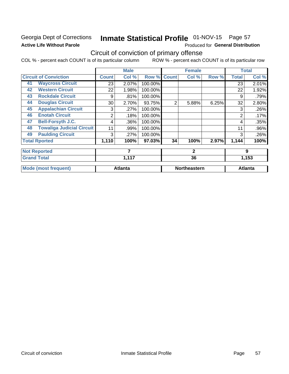### **Georgia Dept of Corrections Active Life Without Parole**

## Inmate Statistical Profile 01-NOV-15 Page 57

Produced for General Distribution

## Circuit of conviction of primary offense

COL % - percent each COUNT is of its particular column ROW % - percent each COUNT is of its particular row

|    |                                  |                 | <b>Male</b>    |         |              | <b>Female</b>       |       |              | <b>Total</b>   |
|----|----------------------------------|-----------------|----------------|---------|--------------|---------------------|-------|--------------|----------------|
|    | <b>Circuit of Conviction</b>     | <b>Count</b>    | Col %          | Row %   | <b>Count</b> | Col %               | Row % | <b>Total</b> | Col %          |
| 41 | <b>Waycross Circuit</b>          | 23              | 2.07%          | 100.00% |              |                     |       | 23           | 2.01%          |
| 42 | <b>Western Circuit</b>           | 22              | 1.98%          | 100.00% |              |                     |       | 22           | 1.92%          |
| 43 | <b>Rockdale Circuit</b>          | 9               | .81%           | 100.00% |              |                     |       | 9            | .79%           |
| 44 | <b>Douglas Circuit</b>           | 30 <sup>2</sup> | 2.70%          | 93.75%  | 2            | 5.88%               | 6.25% | 32           | 2.80%          |
| 45 | <b>Appalachian Circuit</b>       | 3               | .27%           | 100.00% |              |                     |       | 3            | .26%           |
| 46 | <b>Enotah Circuit</b>            | 2               | .18%           | 100.00% |              |                     |       | 2            | .17%           |
| 47 | <b>Bell-Forsyth J.C.</b>         | 4               | .36%           | 100.00% |              |                     |       | 4            | .35%           |
| 48 | <b>Towaliga Judicial Circuit</b> | 11              | .99%           | 100.00% |              |                     |       | 11           | .96%           |
| 49 | <b>Paulding Circuit</b>          | 3               | .27%           | 100.00% |              |                     |       | 3            | .26%           |
|    | <b>Total Rported</b>             | 1,110           | 100%           | 97.03%  | 34           | 100%                | 2.97% | 1,144        | 100%           |
|    | <b>Not Reported</b>              |                 | 7              |         |              | $\mathbf{2}$        |       |              | 9              |
|    | <b>Grand Total</b>               |                 | 1,117          |         |              | 36                  |       |              | 1,153          |
|    | <b>Mode (most frequent)</b>      |                 | <b>Atlanta</b> |         |              | <b>Northeastern</b> |       |              | <b>Atlanta</b> |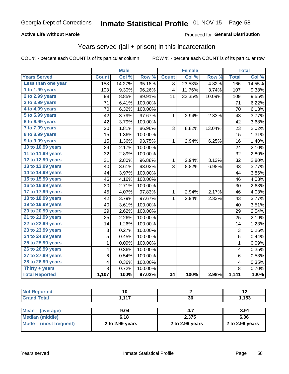#### **Active Life Without Parole**

#### Produced for General Distribution

### Years served (jail + prison) in this incarceration

COL % - percent each COUNT is of its particular column

|                       |                | <b>Male</b> |         |                         | <b>Female</b> |        |                | <b>Total</b> |
|-----------------------|----------------|-------------|---------|-------------------------|---------------|--------|----------------|--------------|
| <b>Years Served</b>   | <b>Count</b>   | Col %       | Row %   | <b>Count</b>            | Col %         | Row %  | <b>Total</b>   | Col %        |
| Less than one year    | 158            | 14.27%      | 95.18%  | 8                       | 23.53%        | 4.82%  | 166            | 14.55%       |
| 1 to 1.99 years       | 103            | 9.30%       | 96.26%  | $\overline{\mathbf{4}}$ | 11.76%        | 3.74%  | 107            | 9.38%        |
| 2 to 2.99 years       | 98             | 8.85%       | 89.91%  | 11                      | 32.35%        | 10.09% | 109            | 9.55%        |
| 3 to 3.99 years       | 71             | 6.41%       | 100.00% |                         |               |        | 71             | 6.22%        |
| 4 to 4.99 years       | 70             | 6.32%       | 100.00% |                         |               |        | 70             | 6.13%        |
| 5 to 5.99 years       | 42             | 3.79%       | 97.67%  | 1                       | 2.94%         | 2.33%  | 43             | 3.77%        |
| 6 to 6.99 years       | 42             | 3.79%       | 100.00% |                         |               |        | 42             | 3.68%        |
| 7 to 7.99 years       | 20             | 1.81%       | 86.96%  | 3                       | 8.82%         | 13.04% | 23             | 2.02%        |
| 8 to 8.99 years       | 15             | 1.36%       | 100.00% |                         |               |        | 15             | 1.31%        |
| 9 to 9.99 years       | 15             | 1.36%       | 93.75%  | 1                       | 2.94%         | 6.25%  | 16             | 1.40%        |
| 10 to 10.99 years     | 24             | 2.17%       | 100.00% |                         |               |        | 24             | 2.10%        |
| 11 to 11.99 years     | 32             | 2.89%       | 100.00% |                         |               |        | 32             | 2.80%        |
| 12 to 12.99 years     | 31             | 2.80%       | 96.88%  | 1                       | 2.94%         | 3.13%  | 32             | 2.80%        |
| 13 to 13.99 years     | 40             | 3.61%       | 93.02%  | 3                       | 8.82%         | 6.98%  | 43             | 3.77%        |
| 14 to 14.99 years     | 44             | 3.97%       | 100.00% |                         |               |        | 44             | 3.86%        |
| 15 to 15.99 years     | 46             | 4.16%       | 100.00% |                         |               |        | 46             | 4.03%        |
| 16 to 16.99 years     | 30             | 2.71%       | 100.00% |                         |               |        | 30             | 2.63%        |
| 17 to 17.99 years     | 45             | 4.07%       | 97.83%  | 1                       | 2.94%         | 2.17%  | 46             | 4.03%        |
| 18 to 18.99 years     | 42             | 3.79%       | 97.67%  | 1                       | 2.94%         | 2.33%  | 43             | 3.77%        |
| 19 to 19.99 years     | 40             | 3.61%       | 100.00% |                         |               |        | 40             | 3.51%        |
| 20 to 20.99 years     | 29             | 2.62%       | 100.00% |                         |               |        | 29             | 2.54%        |
| 21 to 21.99 years     | 25             | 2.26%       | 100.00% |                         |               |        | 25             | 2.19%        |
| 22 to 22.99 years     | 14             | 1.26%       | 100.00% |                         |               |        | 14             | 1.23%        |
| 23 to 23.99 years     | 3              | 0.27%       | 100.00% |                         |               |        | 3              | 0.26%        |
| 24 to 24.99 years     | 5              | 0.45%       | 100.00% |                         |               |        | $\overline{5}$ | 0.44%        |
| 25 to 25.99 years     | $\mathbf 1$    | 0.09%       | 100.00% |                         |               |        | $\mathbf 1$    | 0.09%        |
| 26 to 26.99 years     | 4              | 0.36%       | 100.00% |                         |               |        | 4              | 0.35%        |
| 27 to 27.99 years     | 6              | 0.54%       | 100.00% |                         |               |        | 6              | 0.53%        |
| 28 to 28.99 years     | 4              | 0.36%       | 100.00% |                         |               |        | 4              | 0.35%        |
| Thirty + years        | $\overline{8}$ | 0.72%       | 100.00% |                         |               |        | $\overline{8}$ | 0.70%        |
| <b>Total Reported</b> | 1,107          | 100%        | 97.02%  | $\overline{34}$         | 100%          | 2.98%  | 1,141          | 100%         |

| <b>Not Reported</b>     |                 |                 | 12              |
|-------------------------|-----------------|-----------------|-----------------|
| <b>Grand Total</b>      | 1.117           | 36              | 1,153           |
|                         |                 |                 |                 |
| Mean<br>(average)       | 9.04            | 4.7             | 8.91            |
| Median (middle)         | 6.18            | 2.375           | 6.06            |
| Mode<br>(most frequent) | 2 to 2.99 years | 2 to 2.99 years | 2 to 2.99 years |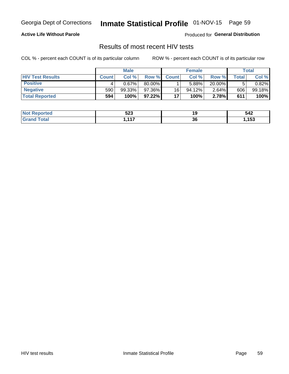## Inmate Statistical Profile 01-NOV-15 Page 59

#### **Active Life Without Parole**

Produced for General Distribution

### Results of most recent HIV tests

COL % - percent each COUNT is of its particular column

|                         | <b>Male</b>  |           |           | <b>Female</b> |           |          | Total |        |
|-------------------------|--------------|-----------|-----------|---------------|-----------|----------|-------|--------|
| <b>HIV Test Results</b> | <b>Count</b> | Col %     | Row %     | <b>Count</b>  | Col %     | Row %    | Total | Col %  |
| <b>Positive</b>         |              | 0.67%     | 80.00%    |               | 5.88%     | 20.00%   |       | 0.82%  |
| <b>Negative</b>         | 590          | $99.33\%$ | 97.36%    | 16            | $94.12\%$ | $2.64\%$ | 606   | 99.18% |
| <b>Total Reported</b>   | 594          | 100%      | $97.22\%$ | 17            | 100%      | 2.78%    | 611   | 100%   |

| <b>Not Reported</b>              | 523                   | . . | 542  |
|----------------------------------|-----------------------|-----|------|
| <b>Total</b><br>Gra <sub>r</sub> | $\overline{447}$<br>. | 36  | ,153 |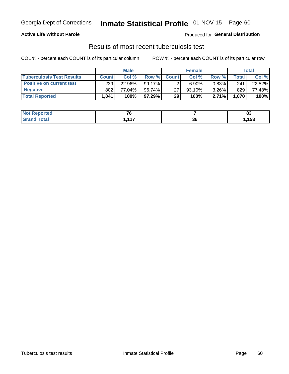## Georgia Dept of Corrections **Inmate Statistical Profile** 01-NOV-15 Page 60

#### **Active Life Without Parole**

Produced for **General Distribution**

### Results of most recent tuberculosis test

COL % - percent each COUNT is of its particular column ROW % - percent each COUNT is of its particular row

|                                  |              | <b>Male</b> |          |              | <b>Female</b> |          |       | Total  |
|----------------------------------|--------------|-------------|----------|--------------|---------------|----------|-------|--------|
| <b>Tuberculosis Test Results</b> | <b>Count</b> | Col%        | Row %I   | <b>Count</b> | Col%          | Row %    | Total | Col %  |
| <b>Positive on current test</b>  | 239          | 22.96%      | 99.17%   |              | 6.90%         | $0.83\%$ | 241   | 22.52% |
| <b>Negative</b>                  | 802          | 77.04%      | 96.74%   | 27           | 93.10%        | $3.26\%$ | 829   | 77.48% |
| <b>Total Reported</b>            | .041. ا      | 100%        | 97.29% I | 29           | 100%          | 2.71%    | 1,070 | 100%   |

| <b>Not Reported</b> | - - |          | n.<br>uu               |
|---------------------|-----|----------|------------------------|
| <b>Total</b>        | 447 | ^^<br>ად | 4E <sub>2</sub><br>၊၁၁ |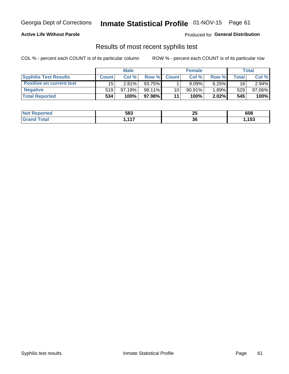## Georgia Dept of Corrections **Inmate Statistical Profile** 01-NOV-15 Page 61

#### **Active Life Without Parole**

Produced for **General Distribution**

### Results of most recent syphilis test

COL % - percent each COUNT is of its particular column ROW % - percent each COUNT is of its particular row

|                                 |              | <b>Male</b> |        |              | <b>Female</b> |          |               | Total  |
|---------------------------------|--------------|-------------|--------|--------------|---------------|----------|---------------|--------|
| <b>Syphilis Test Results</b>    | <b>Count</b> | Col%        | Row %  | <b>Count</b> | Col %         | Row %I   | $\tau$ otal i | Col %  |
| <b>Positive on current test</b> | 15           | 2.81%       | 93.75% |              | $9.09\%$      | 6.25%    | 16            | 2.94%  |
| <b>Negative</b>                 | 519          | 97.19%      | 98.11% | 10           | $90.91\%$     | $1.89\%$ | 529           | 97.06% |
| <b>Total Reported</b>           | 534          | 100%        | 97.98% | 11           | 100%          | $2.02\%$ | 545           | 100%   |

| <b>Not Reported</b> | 583      | יי<br>2 J | 608  |
|---------------------|----------|-----------|------|
| <b>Grand Total</b>  | AA7<br>, | 36        | ,153 |